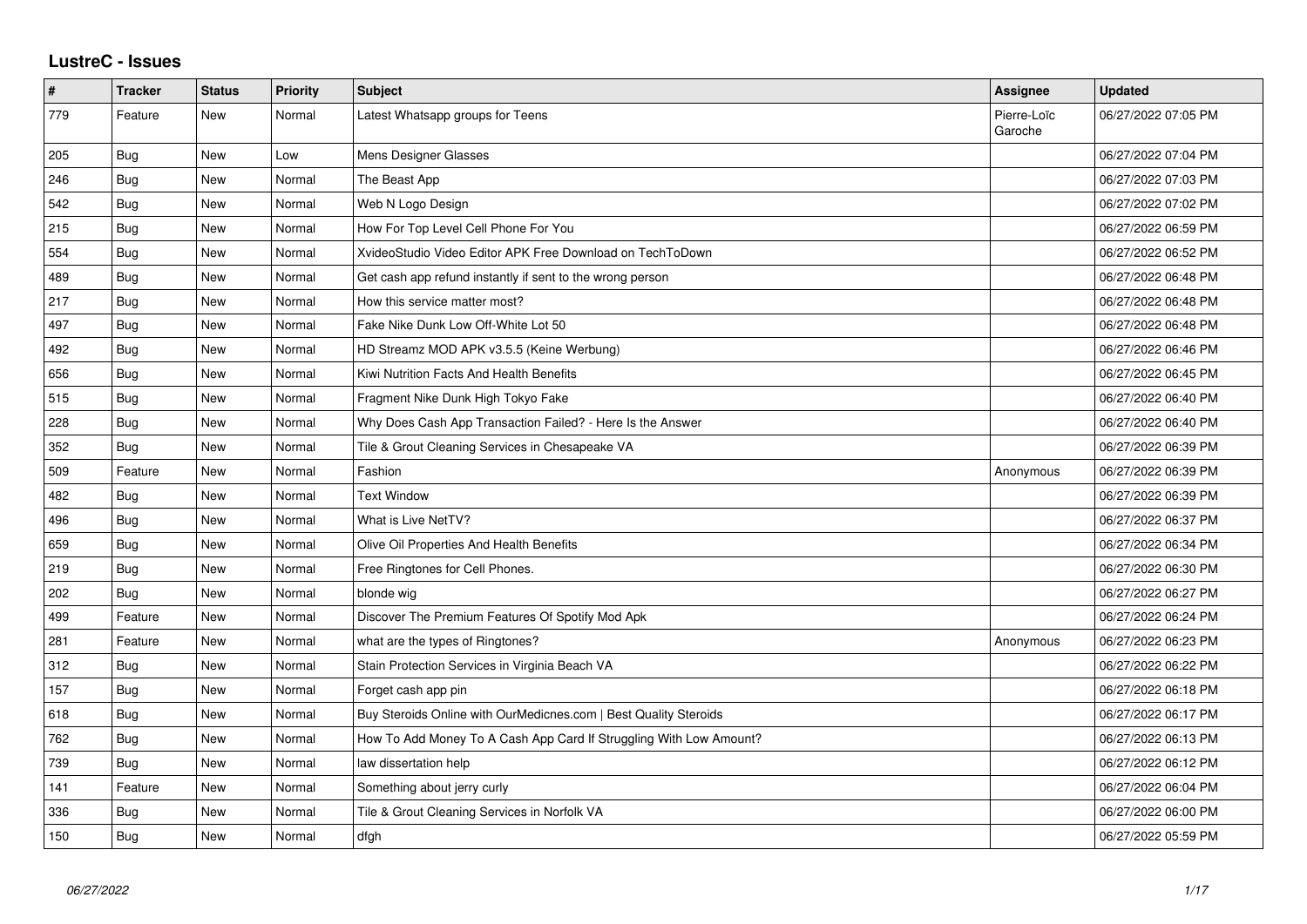## **LustreC - Issues**

| $\vert$ # | <b>Tracker</b> | <b>Status</b> | <b>Priority</b> | <b>Subject</b>                                                     | <b>Assignee</b>        | <b>Updated</b>      |
|-----------|----------------|---------------|-----------------|--------------------------------------------------------------------|------------------------|---------------------|
| 779       | Feature        | <b>New</b>    | Normal          | Latest Whatsapp groups for Teens                                   | Pierre-Loïc<br>Garoche | 06/27/2022 07:05 PM |
| 205       | <b>Bug</b>     | <b>New</b>    | Low             | Mens Designer Glasses                                              |                        | 06/27/2022 07:04 PM |
| 246       | <b>Bug</b>     | <b>New</b>    | Normal          | The Beast App                                                      |                        | 06/27/2022 07:03 PM |
| 542       | <b>Bug</b>     | <b>New</b>    | Normal          | Web N Logo Design                                                  |                        | 06/27/2022 07:02 PM |
| 215       | <b>Bug</b>     | <b>New</b>    | Normal          | How For Top Level Cell Phone For You                               |                        | 06/27/2022 06:59 PM |
| 554       | <b>Bug</b>     | <b>New</b>    | Normal          | XvideoStudio Video Editor APK Free Download on TechToDown          |                        | 06/27/2022 06:52 PM |
| 489       | <b>Bug</b>     | <b>New</b>    | Normal          | Get cash app refund instantly if sent to the wrong person          |                        | 06/27/2022 06:48 PM |
| 217       | <b>Bug</b>     | <b>New</b>    | Normal          | How this service matter most?                                      |                        | 06/27/2022 06:48 PM |
| 497       | Bug            | <b>New</b>    | Normal          | Fake Nike Dunk Low Off-White Lot 50                                |                        | 06/27/2022 06:48 PM |
| 492       | <b>Bug</b>     | <b>New</b>    | Normal          | HD Streamz MOD APK v3.5.5 (Keine Werbung)                          |                        | 06/27/2022 06:46 PM |
| 656       | <b>Bug</b>     | <b>New</b>    | Normal          | Kiwi Nutrition Facts And Health Benefits                           |                        | 06/27/2022 06:45 PM |
| 515       | <b>Bug</b>     | <b>New</b>    | Normal          | Fragment Nike Dunk High Tokyo Fake                                 |                        | 06/27/2022 06:40 PM |
| 228       | <b>Bug</b>     | <b>New</b>    | Normal          | Why Does Cash App Transaction Failed? - Here Is the Answer         |                        | 06/27/2022 06:40 PM |
| 352       | Bug            | New           | Normal          | Tile & Grout Cleaning Services in Chesapeake VA                    |                        | 06/27/2022 06:39 PM |
| 509       | Feature        | <b>New</b>    | Normal          | Fashion                                                            | Anonymous              | 06/27/2022 06:39 PM |
| 482       | Bug            | <b>New</b>    | Normal          | <b>Text Window</b>                                                 |                        | 06/27/2022 06:39 PM |
| 496       | Bug            | <b>New</b>    | Normal          | What is Live NetTV?                                                |                        | 06/27/2022 06:37 PM |
| 659       | <b>Bug</b>     | <b>New</b>    | Normal          | Olive Oil Properties And Health Benefits                           |                        | 06/27/2022 06:34 PM |
| 219       | <b>Bug</b>     | <b>New</b>    | Normal          | Free Ringtones for Cell Phones.                                    |                        | 06/27/2022 06:30 PM |
| 202       | Bug            | <b>New</b>    | Normal          | blonde wig                                                         |                        | 06/27/2022 06:27 PM |
| 499       | Feature        | New           | Normal          | Discover The Premium Features Of Spotify Mod Apk                   |                        | 06/27/2022 06:24 PM |
| 281       | Feature        | <b>New</b>    | Normal          | what are the types of Ringtones?                                   | Anonymous              | 06/27/2022 06:23 PM |
| 312       | Bug            | New           | Normal          | Stain Protection Services in Virginia Beach VA                     |                        | 06/27/2022 06:22 PM |
| 157       | Bug            | <b>New</b>    | Normal          | Forget cash app pin                                                |                        | 06/27/2022 06:18 PM |
| 618       | <b>Bug</b>     | <b>New</b>    | Normal          | Buy Steroids Online with OurMedicnes.com   Best Quality Steroids   |                        | 06/27/2022 06:17 PM |
| 762       | Bug            | New           | Normal          | How To Add Money To A Cash App Card If Struggling With Low Amount? |                        | 06/27/2022 06:13 PM |
| 739       | Bug            | <b>New</b>    | Normal          | law dissertation help                                              |                        | 06/27/2022 06:12 PM |
| 141       | Feature        | <b>New</b>    | Normal          | Something about jerry curly                                        |                        | 06/27/2022 06:04 PM |
| 336       | Bug            | <b>New</b>    | Normal          | Tile & Grout Cleaning Services in Norfolk VA                       |                        | 06/27/2022 06:00 PM |
| 150       | Bug            | <b>New</b>    | Normal          | dfgh                                                               |                        | 06/27/2022 05:59 PM |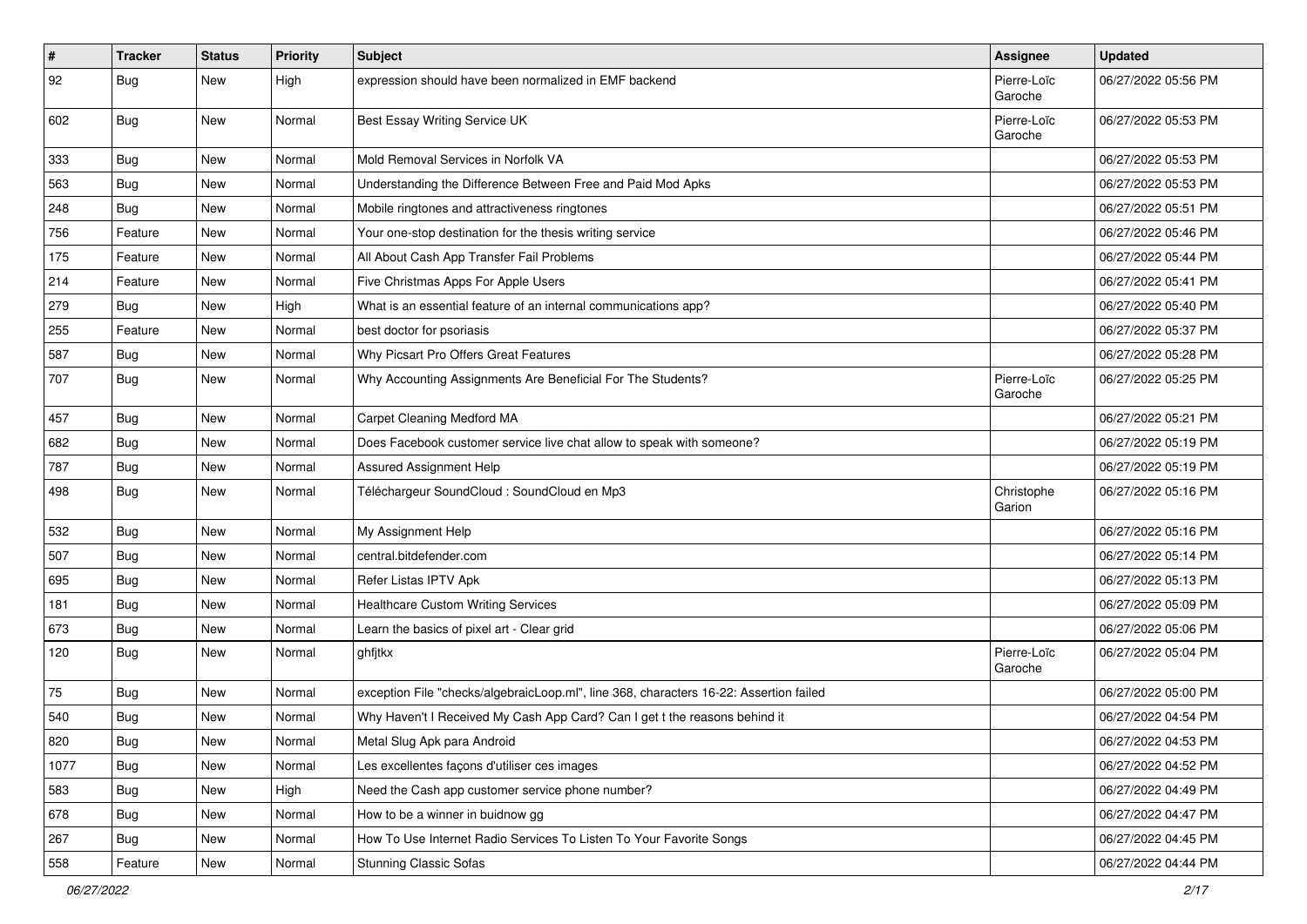| $\vert$ # | <b>Tracker</b> | <b>Status</b> | <b>Priority</b> | Subject                                                                                | Assignee               | <b>Updated</b>      |
|-----------|----------------|---------------|-----------------|----------------------------------------------------------------------------------------|------------------------|---------------------|
| 92        | <b>Bug</b>     | New           | High            | expression should have been normalized in EMF backend                                  | Pierre-Loïc<br>Garoche | 06/27/2022 05:56 PM |
| 602       | Bug            | New           | Normal          | Best Essay Writing Service UK                                                          | Pierre-Loïc<br>Garoche | 06/27/2022 05:53 PM |
| 333       | Bug            | New           | Normal          | Mold Removal Services in Norfolk VA                                                    |                        | 06/27/2022 05:53 PM |
| 563       | <b>Bug</b>     | New           | Normal          | Understanding the Difference Between Free and Paid Mod Apks                            |                        | 06/27/2022 05:53 PM |
| 248       | <b>Bug</b>     | New           | Normal          | Mobile ringtones and attractiveness ringtones                                          |                        | 06/27/2022 05:51 PM |
| 756       | Feature        | New           | Normal          | Your one-stop destination for the thesis writing service                               |                        | 06/27/2022 05:46 PM |
| 175       | Feature        | New           | Normal          | All About Cash App Transfer Fail Problems                                              |                        | 06/27/2022 05:44 PM |
| 214       | Feature        | New           | Normal          | Five Christmas Apps For Apple Users                                                    |                        | 06/27/2022 05:41 PM |
| 279       | <b>Bug</b>     | New           | High            | What is an essential feature of an internal communications app?                        |                        | 06/27/2022 05:40 PM |
| 255       | Feature        | New           | Normal          | best doctor for psoriasis                                                              |                        | 06/27/2022 05:37 PM |
| 587       | <b>Bug</b>     | New           | Normal          | Why Picsart Pro Offers Great Features                                                  |                        | 06/27/2022 05:28 PM |
| 707       | Bug            | New           | Normal          | Why Accounting Assignments Are Beneficial For The Students?                            | Pierre-Loïc<br>Garoche | 06/27/2022 05:25 PM |
| 457       | Bug            | New           | Normal          | Carpet Cleaning Medford MA                                                             |                        | 06/27/2022 05:21 PM |
| 682       | <b>Bug</b>     | New           | Normal          | Does Facebook customer service live chat allow to speak with someone?                  |                        | 06/27/2022 05:19 PM |
| 787       | <b>Bug</b>     | New           | Normal          | Assured Assignment Help                                                                |                        | 06/27/2022 05:19 PM |
| 498       | Bug            | New           | Normal          | Téléchargeur SoundCloud : SoundCloud en Mp3                                            | Christophe<br>Garion   | 06/27/2022 05:16 PM |
| 532       | Bug            | New           | Normal          | My Assignment Help                                                                     |                        | 06/27/2022 05:16 PM |
| 507       | Bug            | New           | Normal          | central.bitdefender.com                                                                |                        | 06/27/2022 05:14 PM |
| 695       | Bug            | New           | Normal          | Refer Listas IPTV Apk                                                                  |                        | 06/27/2022 05:13 PM |
| 181       | Bug            | New           | Normal          | <b>Healthcare Custom Writing Services</b>                                              |                        | 06/27/2022 05:09 PM |
| 673       | <b>Bug</b>     | New           | Normal          | Learn the basics of pixel art - Clear grid                                             |                        | 06/27/2022 05:06 PM |
| 120       | Bug            | New           | Normal          | ghfjtkx                                                                                | Pierre-Loïc<br>Garoche | 06/27/2022 05:04 PM |
| 75        | Bug            | New           | Normal          | exception File "checks/algebraicLoop.ml", line 368, characters 16-22: Assertion failed |                        | 06/27/2022 05:00 PM |
| 540       | Bug            | New           | Normal          | Why Haven't I Received My Cash App Card? Can I get t the reasons behind it             |                        | 06/27/2022 04:54 PM |
| 820       | <b>Bug</b>     | New           | Normal          | Metal Slug Apk para Android                                                            |                        | 06/27/2022 04:53 PM |
| 1077      | Bug            | New           | Normal          | Les excellentes façons d'utiliser ces images                                           |                        | 06/27/2022 04:52 PM |
| 583       | Bug            | New           | High            | Need the Cash app customer service phone number?                                       |                        | 06/27/2022 04:49 PM |
| 678       | <b>Bug</b>     | New           | Normal          | How to be a winner in buidnow gg                                                       |                        | 06/27/2022 04:47 PM |
| 267       | <b>Bug</b>     | New           | Normal          | How To Use Internet Radio Services To Listen To Your Favorite Songs                    |                        | 06/27/2022 04:45 PM |
| 558       | Feature        | New           | Normal          | <b>Stunning Classic Sofas</b>                                                          |                        | 06/27/2022 04:44 PM |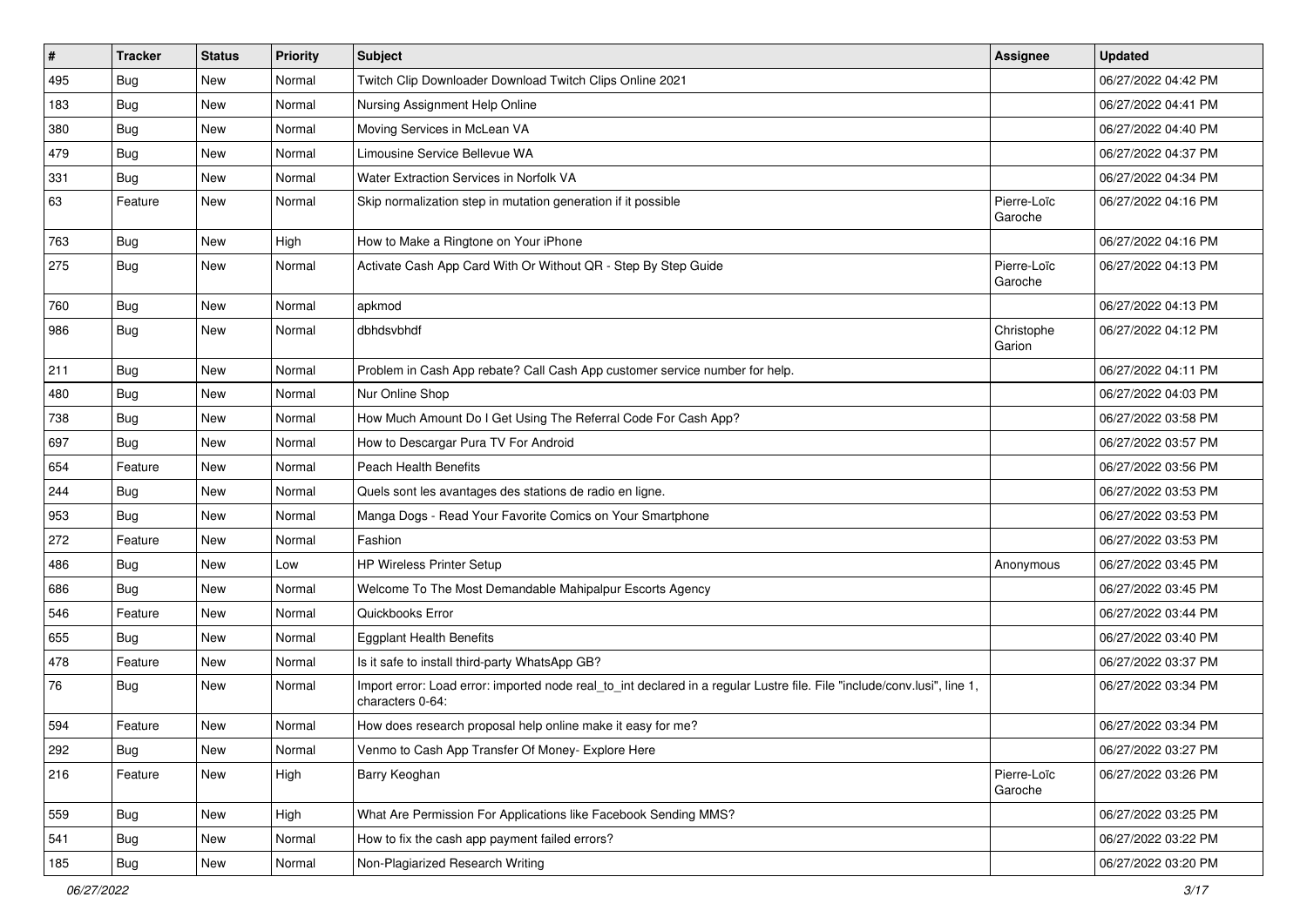| $\vert$ # | <b>Tracker</b> | <b>Status</b> | <b>Priority</b> | Subject                                                                                                                                      | Assignee               | <b>Updated</b>      |
|-----------|----------------|---------------|-----------------|----------------------------------------------------------------------------------------------------------------------------------------------|------------------------|---------------------|
| 495       | <b>Bug</b>     | New           | Normal          | Twitch Clip Downloader Download Twitch Clips Online 2021                                                                                     |                        | 06/27/2022 04:42 PM |
| 183       | Bug            | New           | Normal          | Nursing Assignment Help Online                                                                                                               |                        | 06/27/2022 04:41 PM |
| 380       | Bug            | New           | Normal          | Moving Services in McLean VA                                                                                                                 |                        | 06/27/2022 04:40 PM |
| 479       | <b>Bug</b>     | <b>New</b>    | Normal          | Limousine Service Bellevue WA                                                                                                                |                        | 06/27/2022 04:37 PM |
| 331       | Bug            | New           | Normal          | Water Extraction Services in Norfolk VA                                                                                                      |                        | 06/27/2022 04:34 PM |
| 63        | Feature        | New           | Normal          | Skip normalization step in mutation generation if it possible                                                                                | Pierre-Loïc<br>Garoche | 06/27/2022 04:16 PM |
| 763       | Bug            | New           | High            | How to Make a Ringtone on Your iPhone                                                                                                        |                        | 06/27/2022 04:16 PM |
| 275       | <b>Bug</b>     | New           | Normal          | Activate Cash App Card With Or Without QR - Step By Step Guide                                                                               | Pierre-Loïc<br>Garoche | 06/27/2022 04:13 PM |
| 760       | Bug            | New           | Normal          | apkmod                                                                                                                                       |                        | 06/27/2022 04:13 PM |
| 986       | <b>Bug</b>     | New           | Normal          | dbhdsvbhdf                                                                                                                                   | Christophe<br>Garion   | 06/27/2022 04:12 PM |
| 211       | Bug            | New           | Normal          | Problem in Cash App rebate? Call Cash App customer service number for help.                                                                  |                        | 06/27/2022 04:11 PM |
| 480       | <b>Bug</b>     | New           | Normal          | Nur Online Shop                                                                                                                              |                        | 06/27/2022 04:03 PM |
| 738       | Bug            | New           | Normal          | How Much Amount Do I Get Using The Referral Code For Cash App?                                                                               |                        | 06/27/2022 03:58 PM |
| 697       | Bug            | New           | Normal          | How to Descargar Pura TV For Android                                                                                                         |                        | 06/27/2022 03:57 PM |
| 654       | Feature        | <b>New</b>    | Normal          | Peach Health Benefits                                                                                                                        |                        | 06/27/2022 03:56 PM |
| 244       | Bug            | New           | Normal          | Quels sont les avantages des stations de radio en ligne.                                                                                     |                        | 06/27/2022 03:53 PM |
| 953       | <b>Bug</b>     | <b>New</b>    | Normal          | Manga Dogs - Read Your Favorite Comics on Your Smartphone                                                                                    |                        | 06/27/2022 03:53 PM |
| 272       | Feature        | New           | Normal          | Fashion                                                                                                                                      |                        | 06/27/2022 03:53 PM |
| 486       | Bug            | New           | Low             | <b>HP Wireless Printer Setup</b>                                                                                                             | Anonymous              | 06/27/2022 03:45 PM |
| 686       | <b>Bug</b>     | New           | Normal          | Welcome To The Most Demandable Mahipalpur Escorts Agency                                                                                     |                        | 06/27/2022 03:45 PM |
| 546       | Feature        | New           | Normal          | Quickbooks Error                                                                                                                             |                        | 06/27/2022 03:44 PM |
| 655       | <b>Bug</b>     | New           | Normal          | <b>Eggplant Health Benefits</b>                                                                                                              |                        | 06/27/2022 03:40 PM |
| 478       | Feature        | New           | Normal          | Is it safe to install third-party WhatsApp GB?                                                                                               |                        | 06/27/2022 03:37 PM |
| 76        | <b>Bug</b>     | New           | Normal          | Import error: Load error: imported node real_to_int declared in a regular Lustre file. File "include/conv.lusi", line 1,<br>characters 0-64: |                        | 06/27/2022 03:34 PM |
| 594       | Feature        | New           | Normal          | How does research proposal help online make it easy for me?                                                                                  |                        | 06/27/2022 03:34 PM |
| 292       | <b>Bug</b>     | New           | Normal          | Venmo to Cash App Transfer Of Money- Explore Here                                                                                            |                        | 06/27/2022 03:27 PM |
| 216       | Feature        | New           | High            | Barry Keoghan                                                                                                                                | Pierre-Loïc<br>Garoche | 06/27/2022 03:26 PM |
| 559       | <b>Bug</b>     | New           | High            | What Are Permission For Applications like Facebook Sending MMS?                                                                              |                        | 06/27/2022 03:25 PM |
| 541       | <b>Bug</b>     | New           | Normal          | How to fix the cash app payment failed errors?                                                                                               |                        | 06/27/2022 03:22 PM |
| 185       | Bug            | New           | Normal          | Non-Plagiarized Research Writing                                                                                                             |                        | 06/27/2022 03:20 PM |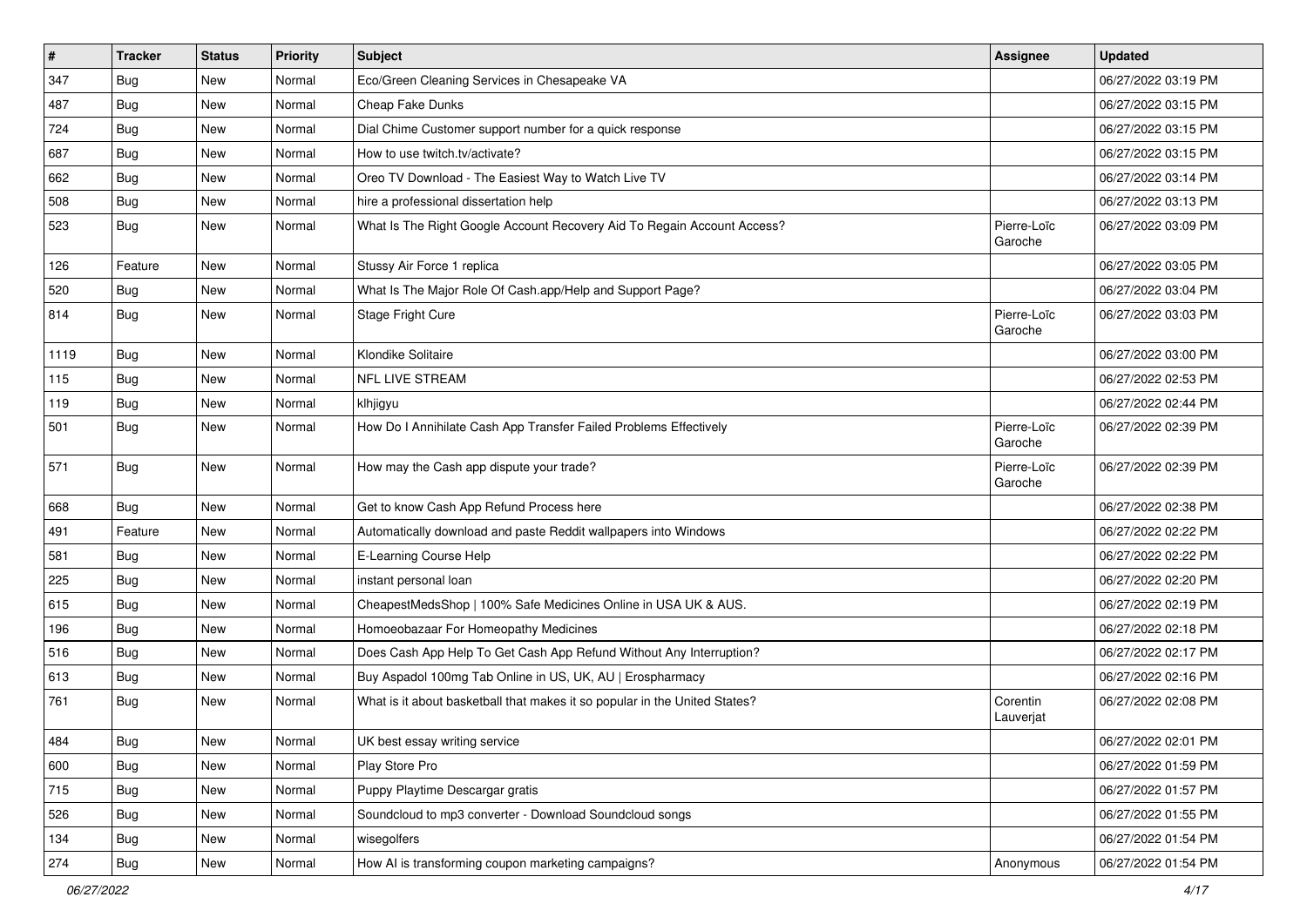| #    | <b>Tracker</b> | <b>Status</b> | <b>Priority</b> | Subject                                                                    | Assignee               | <b>Updated</b>      |
|------|----------------|---------------|-----------------|----------------------------------------------------------------------------|------------------------|---------------------|
| 347  | <b>Bug</b>     | New           | Normal          | Eco/Green Cleaning Services in Chesapeake VA                               |                        | 06/27/2022 03:19 PM |
| 487  | Bug            | New           | Normal          | Cheap Fake Dunks                                                           |                        | 06/27/2022 03:15 PM |
| 724  | Bug            | New           | Normal          | Dial Chime Customer support number for a quick response                    |                        | 06/27/2022 03:15 PM |
| 687  | <b>Bug</b>     | New           | Normal          | How to use twitch.tv/activate?                                             |                        | 06/27/2022 03:15 PM |
| 662  | Bug            | New           | Normal          | Oreo TV Download - The Easiest Way to Watch Live TV                        |                        | 06/27/2022 03:14 PM |
| 508  | <b>Bug</b>     | New           | Normal          | hire a professional dissertation help                                      |                        | 06/27/2022 03:13 PM |
| 523  | <b>Bug</b>     | New           | Normal          | What Is The Right Google Account Recovery Aid To Regain Account Access?    | Pierre-Loïc<br>Garoche | 06/27/2022 03:09 PM |
| 126  | Feature        | New           | Normal          | Stussy Air Force 1 replica                                                 |                        | 06/27/2022 03:05 PM |
| 520  | <b>Bug</b>     | New           | Normal          | What Is The Major Role Of Cash.app/Help and Support Page?                  |                        | 06/27/2022 03:04 PM |
| 814  | Bug            | New           | Normal          | Stage Fright Cure                                                          | Pierre-Loïc<br>Garoche | 06/27/2022 03:03 PM |
| 1119 | Bug            | New           | Normal          | Klondike Solitaire                                                         |                        | 06/27/2022 03:00 PM |
| 115  | <b>Bug</b>     | New           | Normal          | <b>NFL LIVE STREAM</b>                                                     |                        | 06/27/2022 02:53 PM |
| 119  | <b>Bug</b>     | New           | Normal          | klhjigyu                                                                   |                        | 06/27/2022 02:44 PM |
| 501  | Bug            | New           | Normal          | How Do I Annihilate Cash App Transfer Failed Problems Effectively          | Pierre-Loïc<br>Garoche | 06/27/2022 02:39 PM |
| 571  | <b>Bug</b>     | New           | Normal          | How may the Cash app dispute your trade?                                   | Pierre-Loïc<br>Garoche | 06/27/2022 02:39 PM |
| 668  | Bug            | New           | Normal          | Get to know Cash App Refund Process here                                   |                        | 06/27/2022 02:38 PM |
| 491  | Feature        | New           | Normal          | Automatically download and paste Reddit wallpapers into Windows            |                        | 06/27/2022 02:22 PM |
| 581  | <b>Bug</b>     | New           | Normal          | E-Learning Course Help                                                     |                        | 06/27/2022 02:22 PM |
| 225  | <b>Bug</b>     | New           | Normal          | instant personal loan                                                      |                        | 06/27/2022 02:20 PM |
| 615  | Bug            | New           | Normal          | CheapestMedsShop   100% Safe Medicines Online in USA UK & AUS.             |                        | 06/27/2022 02:19 PM |
| 196  | <b>Bug</b>     | New           | Normal          | Homoeobazaar For Homeopathy Medicines                                      |                        | 06/27/2022 02:18 PM |
| 516  | <b>Bug</b>     | New           | Normal          | Does Cash App Help To Get Cash App Refund Without Any Interruption?        |                        | 06/27/2022 02:17 PM |
| 613  | Bug            | New           | Normal          | Buy Aspadol 100mg Tab Online in US, UK, AU   Erospharmacy                  |                        | 06/27/2022 02:16 PM |
| 761  | <b>Bug</b>     | New           | Normal          | What is it about basketball that makes it so popular in the United States? | Corentin<br>Lauverjat  | 06/27/2022 02:08 PM |
| 484  | Bug            | New           | Normal          | UK best essay writing service                                              |                        | 06/27/2022 02:01 PM |
| 600  | Bug            | New           | Normal          | Play Store Pro                                                             |                        | 06/27/2022 01:59 PM |
| 715  | Bug            | New           | Normal          | Puppy Playtime Descargar gratis                                            |                        | 06/27/2022 01:57 PM |
| 526  | <b>Bug</b>     | New           | Normal          | Soundcloud to mp3 converter - Download Soundcloud songs                    |                        | 06/27/2022 01:55 PM |
| 134  | <b>Bug</b>     | New           | Normal          | wisegolfers                                                                |                        | 06/27/2022 01:54 PM |
| 274  | Bug            | New           | Normal          | How AI is transforming coupon marketing campaigns?                         | Anonymous              | 06/27/2022 01:54 PM |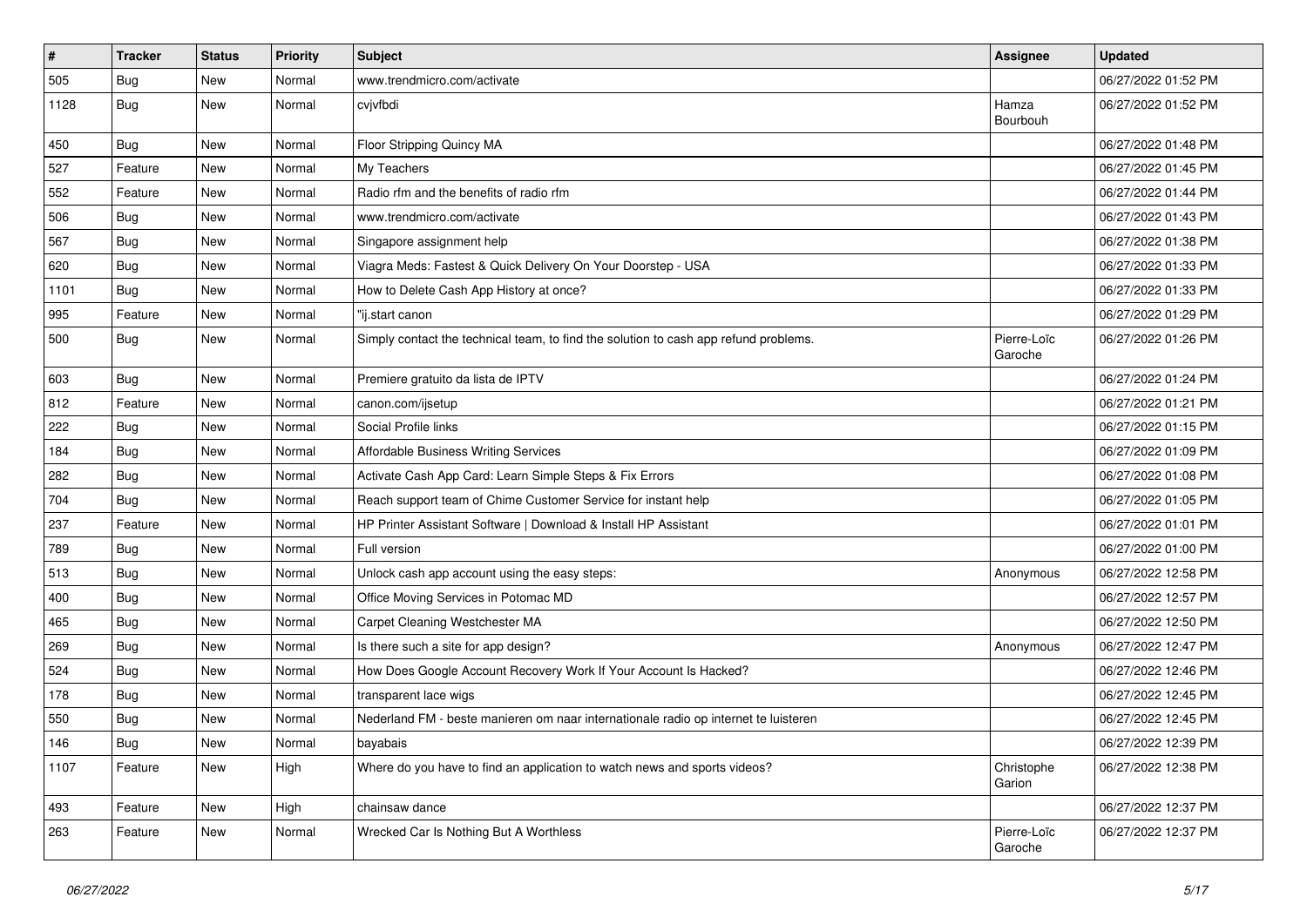| $\sharp$ | <b>Tracker</b> | <b>Status</b> | <b>Priority</b> | Subject                                                                              | <b>Assignee</b>        | <b>Updated</b>      |
|----------|----------------|---------------|-----------------|--------------------------------------------------------------------------------------|------------------------|---------------------|
| 505      | <b>Bug</b>     | New           | Normal          | www.trendmicro.com/activate                                                          |                        | 06/27/2022 01:52 PM |
| 1128     | <b>Bug</b>     | New           | Normal          | cvjvfbdi                                                                             | Hamza<br>Bourbouh      | 06/27/2022 01:52 PM |
| 450      | <b>Bug</b>     | <b>New</b>    | Normal          | Floor Stripping Quincy MA                                                            |                        | 06/27/2022 01:48 PM |
| 527      | Feature        | New           | Normal          | My Teachers                                                                          |                        | 06/27/2022 01:45 PM |
| 552      | Feature        | New           | Normal          | Radio rfm and the benefits of radio rfm                                              |                        | 06/27/2022 01:44 PM |
| 506      | <b>Bug</b>     | New           | Normal          | www.trendmicro.com/activate                                                          |                        | 06/27/2022 01:43 PM |
| 567      | Bug            | New           | Normal          | Singapore assignment help                                                            |                        | 06/27/2022 01:38 PM |
| 620      | <b>Bug</b>     | <b>New</b>    | Normal          | Viagra Meds: Fastest & Quick Delivery On Your Doorstep - USA                         |                        | 06/27/2022 01:33 PM |
| 1101     | <b>Bug</b>     | New           | Normal          | How to Delete Cash App History at once?                                              |                        | 06/27/2022 01:33 PM |
| 995      | Feature        | New           | Normal          | "ij.start canon                                                                      |                        | 06/27/2022 01:29 PM |
| 500      | Bug            | New           | Normal          | Simply contact the technical team, to find the solution to cash app refund problems. | Pierre-Loïc<br>Garoche | 06/27/2022 01:26 PM |
| 603      | Bug            | New           | Normal          | Premiere gratuito da lista de IPTV                                                   |                        | 06/27/2022 01:24 PM |
| 812      | Feature        | New           | Normal          | canon.com/ijsetup                                                                    |                        | 06/27/2022 01:21 PM |
| 222      | Bug            | New           | Normal          | Social Profile links                                                                 |                        | 06/27/2022 01:15 PM |
| 184      | <b>Bug</b>     | <b>New</b>    | Normal          | Affordable Business Writing Services                                                 |                        | 06/27/2022 01:09 PM |
| 282      | Bug            | New           | Normal          | Activate Cash App Card: Learn Simple Steps & Fix Errors                              |                        | 06/27/2022 01:08 PM |
| 704      | <b>Bug</b>     | New           | Normal          | Reach support team of Chime Customer Service for instant help                        |                        | 06/27/2022 01:05 PM |
| 237      | Feature        | New           | Normal          | HP Printer Assistant Software   Download & Install HP Assistant                      |                        | 06/27/2022 01:01 PM |
| 789      | <b>Bug</b>     | New           | Normal          | Full version                                                                         |                        | 06/27/2022 01:00 PM |
| 513      | <b>Bug</b>     | <b>New</b>    | Normal          | Unlock cash app account using the easy steps:                                        | Anonymous              | 06/27/2022 12:58 PM |
| 400      | Bug            | <b>New</b>    | Normal          | Office Moving Services in Potomac MD                                                 |                        | 06/27/2022 12:57 PM |
| 465      | <b>Bug</b>     | New           | Normal          | Carpet Cleaning Westchester MA                                                       |                        | 06/27/2022 12:50 PM |
| 269      | <b>Bug</b>     | New           | Normal          | Is there such a site for app design?                                                 | Anonymous              | 06/27/2022 12:47 PM |
| 524      | Bug            | New           | Normal          | How Does Google Account Recovery Work If Your Account Is Hacked?                     |                        | 06/27/2022 12:46 PM |
| 178      | <b>Bug</b>     | New           | Normal          | transparent lace wigs                                                                |                        | 06/27/2022 12:45 PM |
| 550      | <b>Bug</b>     | New           | Normal          | Nederland FM - beste manieren om naar internationale radio op internet te luisteren  |                        | 06/27/2022 12:45 PM |
| 146      | Bug            | New           | Normal          | bayabais                                                                             |                        | 06/27/2022 12:39 PM |
| 1107     | Feature        | New           | High            | Where do you have to find an application to watch news and sports videos?            | Christophe<br>Garion   | 06/27/2022 12:38 PM |
| 493      | Feature        | New           | High            | chainsaw dance                                                                       |                        | 06/27/2022 12:37 PM |
| 263      | Feature        | New           | Normal          | Wrecked Car Is Nothing But A Worthless                                               | Pierre-Loïc<br>Garoche | 06/27/2022 12:37 PM |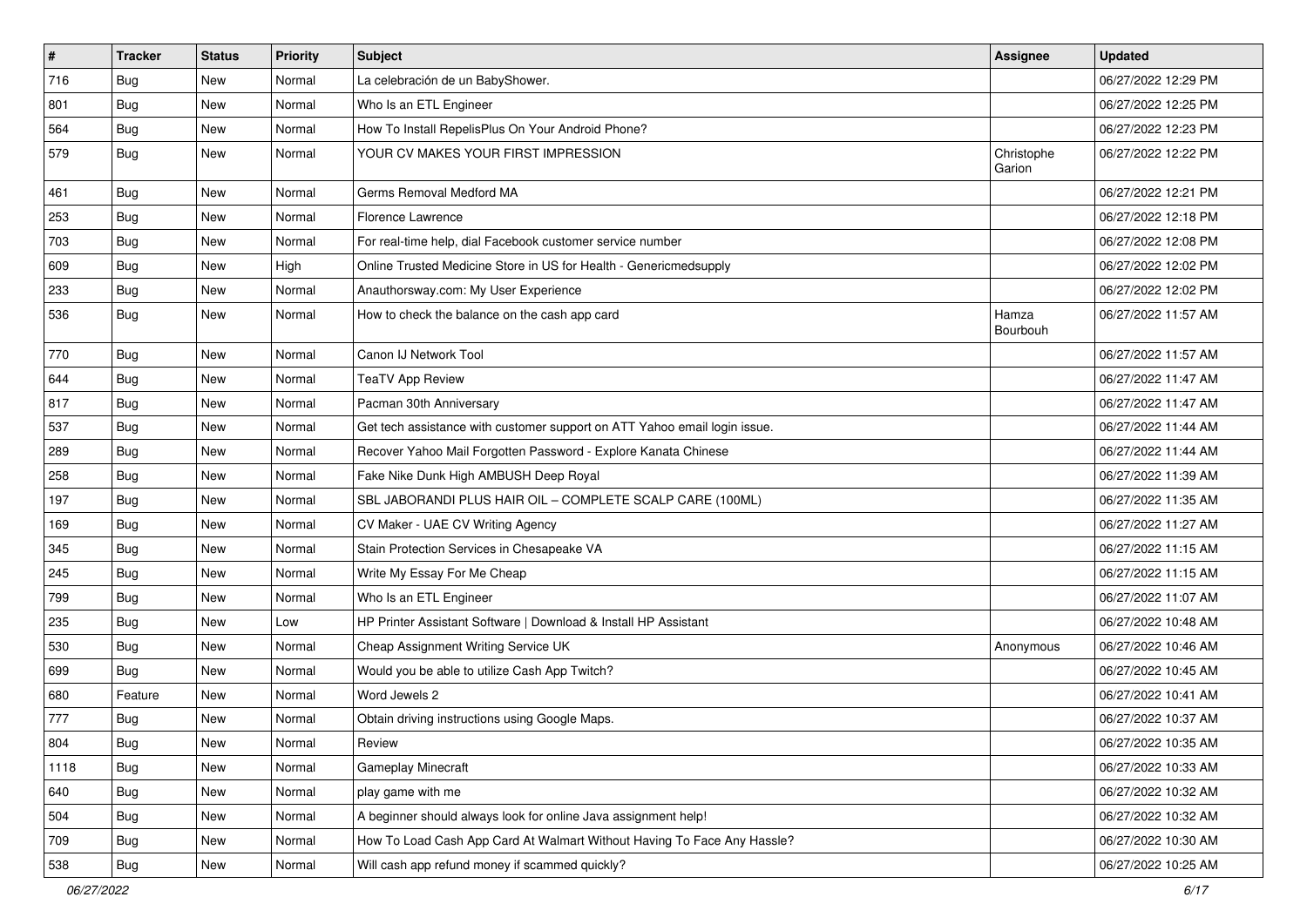| $\vert$ # | <b>Tracker</b> | <b>Status</b> | Priority | Subject                                                                   | Assignee             | <b>Updated</b>      |
|-----------|----------------|---------------|----------|---------------------------------------------------------------------------|----------------------|---------------------|
| 716       | <b>Bug</b>     | New           | Normal   | La celebración de un BabyShower.                                          |                      | 06/27/2022 12:29 PM |
| 801       | <b>Bug</b>     | New           | Normal   | Who Is an ETL Engineer                                                    |                      | 06/27/2022 12:25 PM |
| 564       | Bug            | New           | Normal   | How To Install RepelisPlus On Your Android Phone?                         |                      | 06/27/2022 12:23 PM |
| 579       | <b>Bug</b>     | New           | Normal   | YOUR CV MAKES YOUR FIRST IMPRESSION                                       | Christophe<br>Garion | 06/27/2022 12:22 PM |
| 461       | Bug            | New           | Normal   | Germs Removal Medford MA                                                  |                      | 06/27/2022 12:21 PM |
| 253       | <b>Bug</b>     | New           | Normal   | Florence Lawrence                                                         |                      | 06/27/2022 12:18 PM |
| 703       | Bug            | New           | Normal   | For real-time help, dial Facebook customer service number                 |                      | 06/27/2022 12:08 PM |
| 609       | Bug            | New           | High     | Online Trusted Medicine Store in US for Health - Genericmedsupply         |                      | 06/27/2022 12:02 PM |
| 233       | <b>Bug</b>     | New           | Normal   | Anauthorsway.com: My User Experience                                      |                      | 06/27/2022 12:02 PM |
| 536       | Bug            | New           | Normal   | How to check the balance on the cash app card                             | Hamza<br>Bourbouh    | 06/27/2022 11:57 AM |
| 770       | Bug            | New           | Normal   | Canon IJ Network Tool                                                     |                      | 06/27/2022 11:57 AM |
| 644       | <b>Bug</b>     | New           | Normal   | <b>TeaTV App Review</b>                                                   |                      | 06/27/2022 11:47 AM |
| 817       | Bug            | New           | Normal   | Pacman 30th Anniversary                                                   |                      | 06/27/2022 11:47 AM |
| 537       | Bug            | New           | Normal   | Get tech assistance with customer support on ATT Yahoo email login issue. |                      | 06/27/2022 11:44 AM |
| 289       | <b>Bug</b>     | New           | Normal   | Recover Yahoo Mail Forgotten Password - Explore Kanata Chinese            |                      | 06/27/2022 11:44 AM |
| 258       | Bug            | New           | Normal   | Fake Nike Dunk High AMBUSH Deep Royal                                     |                      | 06/27/2022 11:39 AM |
| 197       | <b>Bug</b>     | New           | Normal   | SBL JABORANDI PLUS HAIR OIL - COMPLETE SCALP CARE (100ML)                 |                      | 06/27/2022 11:35 AM |
| 169       | <b>Bug</b>     | New           | Normal   | CV Maker - UAE CV Writing Agency                                          |                      | 06/27/2022 11:27 AM |
| 345       | Bug            | New           | Normal   | Stain Protection Services in Chesapeake VA                                |                      | 06/27/2022 11:15 AM |
| 245       | Bug            | New           | Normal   | Write My Essay For Me Cheap                                               |                      | 06/27/2022 11:15 AM |
| 799       | <b>Bug</b>     | New           | Normal   | Who Is an ETL Engineer                                                    |                      | 06/27/2022 11:07 AM |
| 235       | <b>Bug</b>     | New           | Low      | HP Printer Assistant Software   Download & Install HP Assistant           |                      | 06/27/2022 10:48 AM |
| 530       | <b>Bug</b>     | New           | Normal   | Cheap Assignment Writing Service UK                                       | Anonymous            | 06/27/2022 10:46 AM |
| 699       | Bug            | New           | Normal   | Would you be able to utilize Cash App Twitch?                             |                      | 06/27/2022 10:45 AM |
| 680       | Feature        | New           | Normal   | Word Jewels 2                                                             |                      | 06/27/2022 10:41 AM |
| 777       | <b>Bug</b>     | New           | Normal   | Obtain driving instructions using Google Maps.                            |                      | 06/27/2022 10:37 AM |
| 804       | Bug            | New           | Normal   | Review                                                                    |                      | 06/27/2022 10:35 AM |
| 1118      | <b>Bug</b>     | New           | Normal   | Gameplay Minecraft                                                        |                      | 06/27/2022 10:33 AM |
| 640       | Bug            | New           | Normal   | play game with me                                                         |                      | 06/27/2022 10:32 AM |
| 504       | Bug            | New           | Normal   | A beginner should always look for online Java assignment help!            |                      | 06/27/2022 10:32 AM |
| 709       | <b>Bug</b>     | New           | Normal   | How To Load Cash App Card At Walmart Without Having To Face Any Hassle?   |                      | 06/27/2022 10:30 AM |
| 538       | <b>Bug</b>     | New           | Normal   | Will cash app refund money if scammed quickly?                            |                      | 06/27/2022 10:25 AM |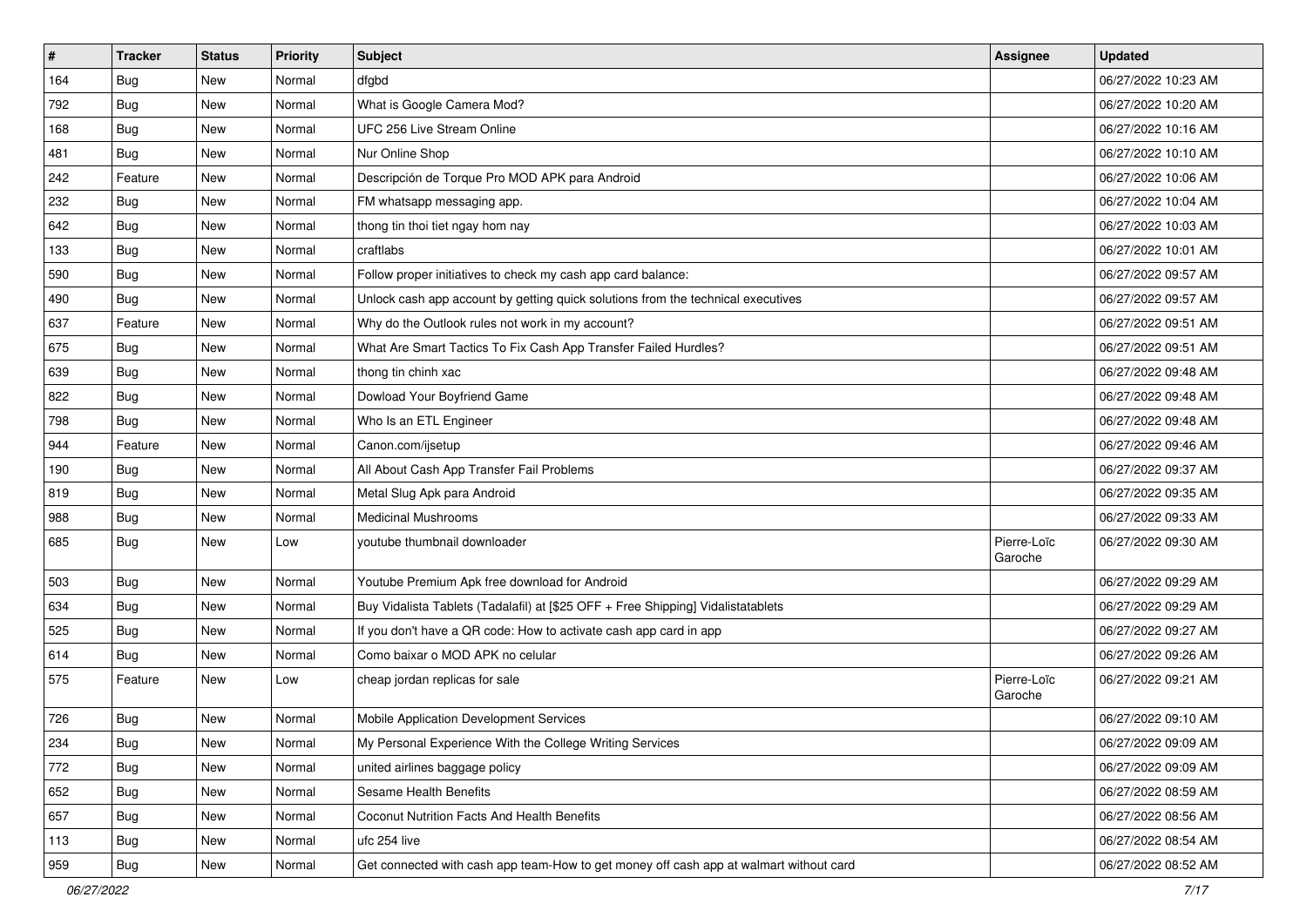| #   | <b>Tracker</b> | <b>Status</b> | <b>Priority</b> | Subject                                                                                | Assignee               | <b>Updated</b>      |
|-----|----------------|---------------|-----------------|----------------------------------------------------------------------------------------|------------------------|---------------------|
| 164 | <b>Bug</b>     | New           | Normal          | dfgbd                                                                                  |                        | 06/27/2022 10:23 AM |
| 792 | Bug            | New           | Normal          | What is Google Camera Mod?                                                             |                        | 06/27/2022 10:20 AM |
| 168 | Bug            | New           | Normal          | UFC 256 Live Stream Online                                                             |                        | 06/27/2022 10:16 AM |
| 481 | <b>Bug</b>     | New           | Normal          | Nur Online Shop                                                                        |                        | 06/27/2022 10:10 AM |
| 242 | Feature        | New           | Normal          | Descripción de Torque Pro MOD APK para Android                                         |                        | 06/27/2022 10:06 AM |
| 232 | <b>Bug</b>     | New           | Normal          | FM whatsapp messaging app.                                                             |                        | 06/27/2022 10:04 AM |
| 642 | <b>Bug</b>     | New           | Normal          | thong tin thoi tiet ngay hom nay                                                       |                        | 06/27/2022 10:03 AM |
| 133 | Bug            | New           | Normal          | craftlabs                                                                              |                        | 06/27/2022 10:01 AM |
| 590 | <b>Bug</b>     | New           | Normal          | Follow proper initiatives to check my cash app card balance:                           |                        | 06/27/2022 09:57 AM |
| 490 | <b>Bug</b>     | New           | Normal          | Unlock cash app account by getting quick solutions from the technical executives       |                        | 06/27/2022 09:57 AM |
| 637 | Feature        | New           | Normal          | Why do the Outlook rules not work in my account?                                       |                        | 06/27/2022 09:51 AM |
| 675 | <b>Bug</b>     | New           | Normal          | What Are Smart Tactics To Fix Cash App Transfer Failed Hurdles?                        |                        | 06/27/2022 09:51 AM |
| 639 | Bug            | New           | Normal          | thong tin chinh xac                                                                    |                        | 06/27/2022 09:48 AM |
| 822 | <b>Bug</b>     | New           | Normal          | Dowload Your Boyfriend Game                                                            |                        | 06/27/2022 09:48 AM |
| 798 | <b>Bug</b>     | New           | Normal          | Who Is an ETL Engineer                                                                 |                        | 06/27/2022 09:48 AM |
| 944 | Feature        | New           | Normal          | Canon.com/ijsetup                                                                      |                        | 06/27/2022 09:46 AM |
| 190 | <b>Bug</b>     | New           | Normal          | All About Cash App Transfer Fail Problems                                              |                        | 06/27/2022 09:37 AM |
| 819 | Bug            | New           | Normal          | Metal Slug Apk para Android                                                            |                        | 06/27/2022 09:35 AM |
| 988 | <b>Bug</b>     | New           | Normal          | <b>Medicinal Mushrooms</b>                                                             |                        | 06/27/2022 09:33 AM |
| 685 | <b>Bug</b>     | New           | Low             | youtube thumbnail downloader                                                           | Pierre-Loïc<br>Garoche | 06/27/2022 09:30 AM |
| 503 | Bug            | New           | Normal          | Youtube Premium Apk free download for Android                                          |                        | 06/27/2022 09:29 AM |
| 634 | Bug            | New           | Normal          | Buy Vidalista Tablets (Tadalafil) at [\$25 OFF + Free Shipping] Vidalistatablets       |                        | 06/27/2022 09:29 AM |
| 525 | <b>Bug</b>     | New           | Normal          | If you don't have a QR code: How to activate cash app card in app                      |                        | 06/27/2022 09:27 AM |
| 614 | <b>Bug</b>     | New           | Normal          | Como baixar o MOD APK no celular                                                       |                        | 06/27/2022 09:26 AM |
| 575 | Feature        | New           | Low             | cheap jordan replicas for sale                                                         | Pierre-Loïc<br>Garoche | 06/27/2022 09:21 AM |
| 726 | <b>Bug</b>     | New           | Normal          | Mobile Application Development Services                                                |                        | 06/27/2022 09:10 AM |
| 234 | Bug            | New           | Normal          | My Personal Experience With the College Writing Services                               |                        | 06/27/2022 09:09 AM |
| 772 | Bug            | New           | Normal          | united airlines baggage policy                                                         |                        | 06/27/2022 09:09 AM |
| 652 | <b>Bug</b>     | New           | Normal          | Sesame Health Benefits                                                                 |                        | 06/27/2022 08:59 AM |
| 657 | <b>Bug</b>     | New           | Normal          | Coconut Nutrition Facts And Health Benefits                                            |                        | 06/27/2022 08:56 AM |
| 113 | <b>Bug</b>     | New           | Normal          | ufc 254 live                                                                           |                        | 06/27/2022 08:54 AM |
| 959 | <b>Bug</b>     | New           | Normal          | Get connected with cash app team-How to get money off cash app at walmart without card |                        | 06/27/2022 08:52 AM |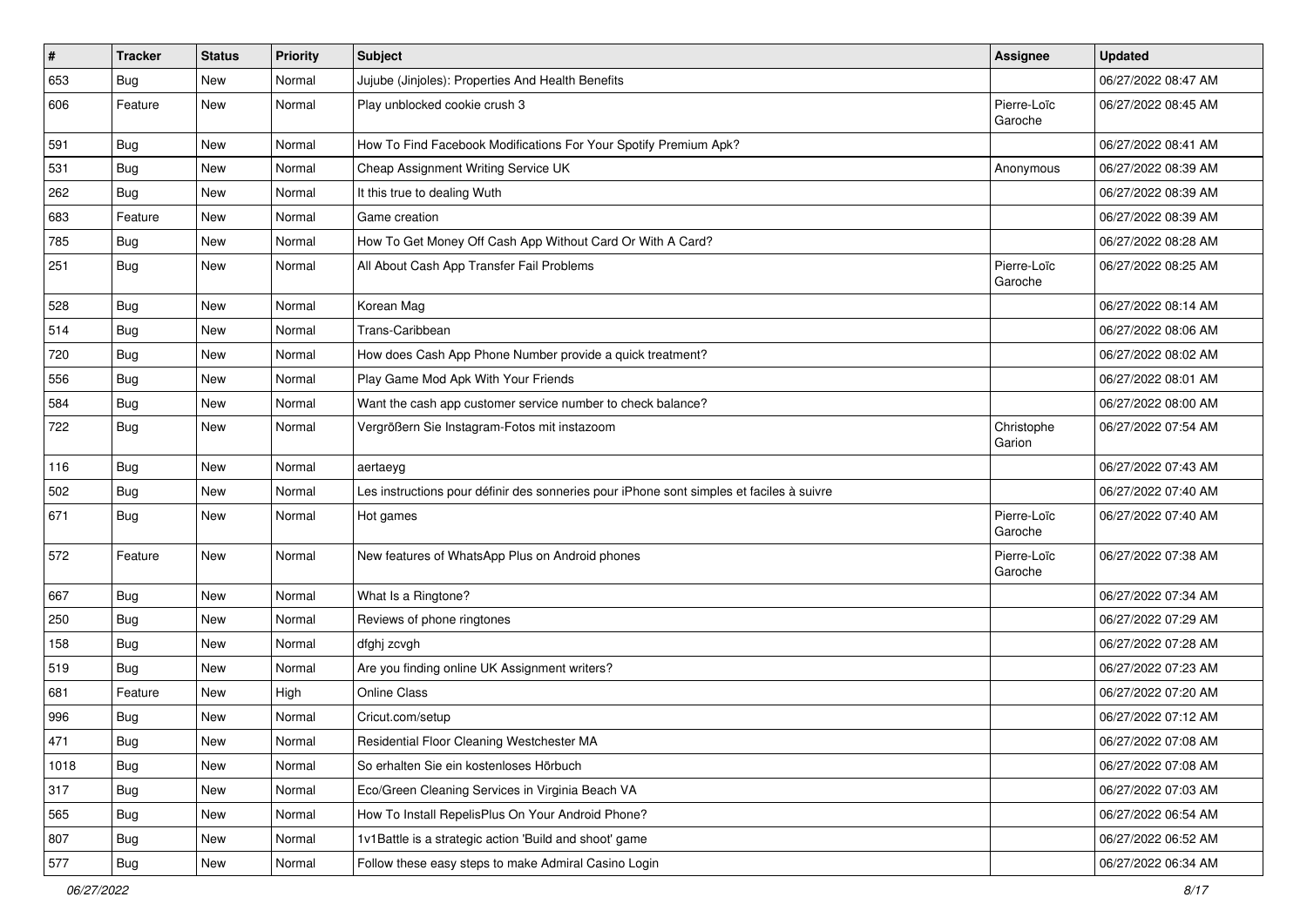| $\sharp$ | <b>Tracker</b> | <b>Status</b> | <b>Priority</b> | Subject                                                                                  | <b>Assignee</b>        | <b>Updated</b>      |
|----------|----------------|---------------|-----------------|------------------------------------------------------------------------------------------|------------------------|---------------------|
| 653      | <b>Bug</b>     | New           | Normal          | Jujube (Jinjoles): Properties And Health Benefits                                        |                        | 06/27/2022 08:47 AM |
| 606      | Feature        | New           | Normal          | Play unblocked cookie crush 3                                                            | Pierre-Loïc<br>Garoche | 06/27/2022 08:45 AM |
| 591      | Bug            | <b>New</b>    | Normal          | How To Find Facebook Modifications For Your Spotify Premium Apk?                         |                        | 06/27/2022 08:41 AM |
| 531      | Bug            | <b>New</b>    | Normal          | Cheap Assignment Writing Service UK                                                      | Anonymous              | 06/27/2022 08:39 AM |
| 262      | <b>Bug</b>     | New           | Normal          | It this true to dealing Wuth                                                             |                        | 06/27/2022 08:39 AM |
| 683      | Feature        | New           | Normal          | Game creation                                                                            |                        | 06/27/2022 08:39 AM |
| 785      | Bug            | New           | Normal          | How To Get Money Off Cash App Without Card Or With A Card?                               |                        | 06/27/2022 08:28 AM |
| 251      | <b>Bug</b>     | New           | Normal          | All About Cash App Transfer Fail Problems                                                | Pierre-Loïc<br>Garoche | 06/27/2022 08:25 AM |
| 528      | <b>Bug</b>     | New           | Normal          | Korean Mag                                                                               |                        | 06/27/2022 08:14 AM |
| 514      | <b>Bug</b>     | <b>New</b>    | Normal          | Trans-Caribbean                                                                          |                        | 06/27/2022 08:06 AM |
| 720      | Bug            | <b>New</b>    | Normal          | How does Cash App Phone Number provide a quick treatment?                                |                        | 06/27/2022 08:02 AM |
| 556      | <b>Bug</b>     | New           | Normal          | Play Game Mod Apk With Your Friends                                                      |                        | 06/27/2022 08:01 AM |
| 584      | Bug            | New           | Normal          | Want the cash app customer service number to check balance?                              |                        | 06/27/2022 08:00 AM |
| 722      | <b>Bug</b>     | <b>New</b>    | Normal          | Vergrößern Sie Instagram-Fotos mit instazoom                                             | Christophe<br>Garion   | 06/27/2022 07:54 AM |
| 116      | <b>Bug</b>     | New           | Normal          | aertaeyg                                                                                 |                        | 06/27/2022 07:43 AM |
| 502      | <b>Bug</b>     | New           | Normal          | Les instructions pour définir des sonneries pour iPhone sont simples et faciles à suivre |                        | 06/27/2022 07:40 AM |
| 671      | <b>Bug</b>     | New           | Normal          | Hot games                                                                                | Pierre-Loïc<br>Garoche | 06/27/2022 07:40 AM |
| 572      | Feature        | New           | Normal          | New features of WhatsApp Plus on Android phones                                          | Pierre-Loïc<br>Garoche | 06/27/2022 07:38 AM |
| 667      | Bug            | New           | Normal          | What Is a Ringtone?                                                                      |                        | 06/27/2022 07:34 AM |
| 250      | Bug            | New           | Normal          | Reviews of phone ringtones                                                               |                        | 06/27/2022 07:29 AM |
| 158      | <b>Bug</b>     | New           | Normal          | dfghj zcvgh                                                                              |                        | 06/27/2022 07:28 AM |
| 519      | Bug            | New           | Normal          | Are you finding online UK Assignment writers?                                            |                        | 06/27/2022 07:23 AM |
| 681      | Feature        | New           | High            | Online Class                                                                             |                        | 06/27/2022 07:20 AM |
| 996      | <b>Bug</b>     | New           | Normal          | Cricut.com/setup                                                                         |                        | 06/27/2022 07:12 AM |
| 471      | Bug            | New           | Normal          | Residential Floor Cleaning Westchester MA                                                |                        | 06/27/2022 07:08 AM |
| 1018     | Bug            | New           | Normal          | So erhalten Sie ein kostenloses Hörbuch                                                  |                        | 06/27/2022 07:08 AM |
| 317      | Bug            | New           | Normal          | Eco/Green Cleaning Services in Virginia Beach VA                                         |                        | 06/27/2022 07:03 AM |
| 565      | <b>Bug</b>     | New           | Normal          | How To Install RepelisPlus On Your Android Phone?                                        |                        | 06/27/2022 06:54 AM |
| 807      | Bug            | New           | Normal          | 1v1Battle is a strategic action 'Build and shoot' game                                   |                        | 06/27/2022 06:52 AM |
| 577      | <b>Bug</b>     | New           | Normal          | Follow these easy steps to make Admiral Casino Login                                     |                        | 06/27/2022 06:34 AM |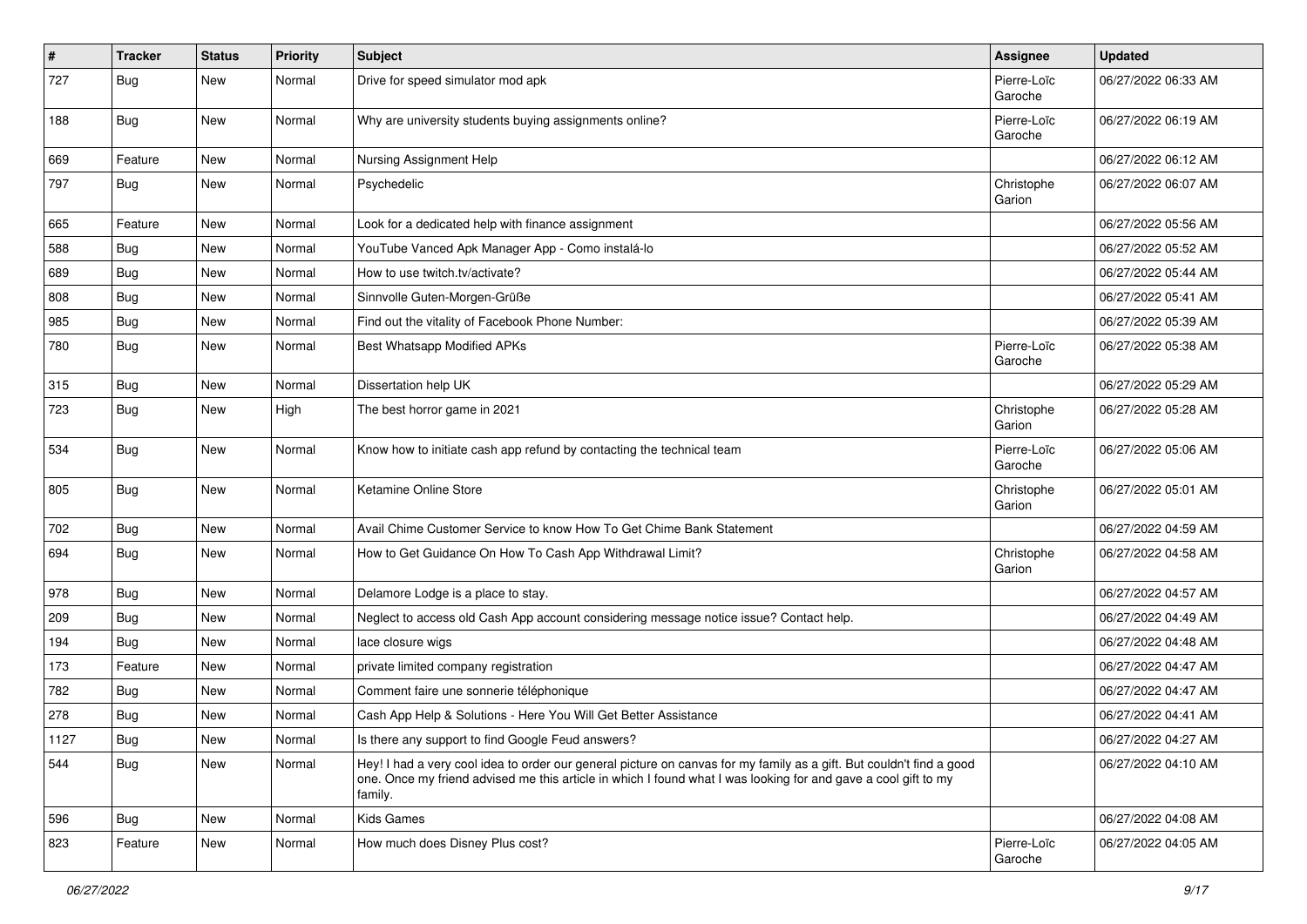| $\pmb{\#}$ | <b>Tracker</b> | <b>Status</b> | <b>Priority</b> | Subject                                                                                                                                                                                                                                           | Assignee               | <b>Updated</b>      |
|------------|----------------|---------------|-----------------|---------------------------------------------------------------------------------------------------------------------------------------------------------------------------------------------------------------------------------------------------|------------------------|---------------------|
| 727        | <b>Bug</b>     | New           | Normal          | Drive for speed simulator mod apk                                                                                                                                                                                                                 | Pierre-Loïc<br>Garoche | 06/27/2022 06:33 AM |
| 188        | Bug            | <b>New</b>    | Normal          | Why are university students buying assignments online?                                                                                                                                                                                            | Pierre-Loïc<br>Garoche | 06/27/2022 06:19 AM |
| 669        | Feature        | <b>New</b>    | Normal          | Nursing Assignment Help                                                                                                                                                                                                                           |                        | 06/27/2022 06:12 AM |
| 797        | <b>Bug</b>     | New           | Normal          | Psychedelic                                                                                                                                                                                                                                       | Christophe<br>Garion   | 06/27/2022 06:07 AM |
| 665        | Feature        | New           | Normal          | Look for a dedicated help with finance assignment                                                                                                                                                                                                 |                        | 06/27/2022 05:56 AM |
| 588        | <b>Bug</b>     | <b>New</b>    | Normal          | YouTube Vanced Apk Manager App - Como instalá-lo                                                                                                                                                                                                  |                        | 06/27/2022 05:52 AM |
| 689        | <b>Bug</b>     | <b>New</b>    | Normal          | How to use twitch.tv/activate?                                                                                                                                                                                                                    |                        | 06/27/2022 05:44 AM |
| 808        | <b>Bug</b>     | New           | Normal          | Sinnvolle Guten-Morgen-Grüße                                                                                                                                                                                                                      |                        | 06/27/2022 05:41 AM |
| 985        | <b>Bug</b>     | <b>New</b>    | Normal          | Find out the vitality of Facebook Phone Number:                                                                                                                                                                                                   |                        | 06/27/2022 05:39 AM |
| 780        | <b>Bug</b>     | <b>New</b>    | Normal          | Best Whatsapp Modified APKs                                                                                                                                                                                                                       | Pierre-Loïc<br>Garoche | 06/27/2022 05:38 AM |
| 315        | <b>Bug</b>     | <b>New</b>    | Normal          | Dissertation help UK                                                                                                                                                                                                                              |                        | 06/27/2022 05:29 AM |
| 723        | Bug            | New           | High            | The best horror game in 2021                                                                                                                                                                                                                      | Christophe<br>Garion   | 06/27/2022 05:28 AM |
| 534        | <b>Bug</b>     | New           | Normal          | Know how to initiate cash app refund by contacting the technical team                                                                                                                                                                             | Pierre-Loïc<br>Garoche | 06/27/2022 05:06 AM |
| 805        | Bug            | New           | Normal          | Ketamine Online Store                                                                                                                                                                                                                             | Christophe<br>Garion   | 06/27/2022 05:01 AM |
| 702        | <b>Bug</b>     | <b>New</b>    | Normal          | Avail Chime Customer Service to know How To Get Chime Bank Statement                                                                                                                                                                              |                        | 06/27/2022 04:59 AM |
| 694        | <b>Bug</b>     | New           | Normal          | How to Get Guidance On How To Cash App Withdrawal Limit?                                                                                                                                                                                          | Christophe<br>Garion   | 06/27/2022 04:58 AM |
| 978        | Bug            | New           | Normal          | Delamore Lodge is a place to stay.                                                                                                                                                                                                                |                        | 06/27/2022 04:57 AM |
| 209        | <b>Bug</b>     | <b>New</b>    | Normal          | Neglect to access old Cash App account considering message notice issue? Contact help.                                                                                                                                                            |                        | 06/27/2022 04:49 AM |
| 194        | Bug            | New           | Normal          | lace closure wigs                                                                                                                                                                                                                                 |                        | 06/27/2022 04:48 AM |
| 173        | Feature        | New           | Normal          | private limited company registration                                                                                                                                                                                                              |                        | 06/27/2022 04:47 AM |
| 782        | <b>Bug</b>     | <b>New</b>    | Normal          | Comment faire une sonnerie téléphonique                                                                                                                                                                                                           |                        | 06/27/2022 04:47 AM |
| 278        | <b>Bug</b>     | New           | Normal          | Cash App Help & Solutions - Here You Will Get Better Assistance                                                                                                                                                                                   |                        | 06/27/2022 04:41 AM |
| 1127       | Bug            | New           | Normal          | Is there any support to find Google Feud answers?                                                                                                                                                                                                 |                        | 06/27/2022 04:27 AM |
| 544        | Bug            | New           | Normal          | Hey! I had a very cool idea to order our general picture on canvas for my family as a gift. But couldn't find a good<br>one. Once my friend advised me this article in which I found what I was looking for and gave a cool gift to my<br>family. |                        | 06/27/2022 04:10 AM |
| 596        | <b>Bug</b>     | New           | Normal          | Kids Games                                                                                                                                                                                                                                        |                        | 06/27/2022 04:08 AM |
| 823        | Feature        | New           | Normal          | How much does Disney Plus cost?                                                                                                                                                                                                                   | Pierre-Loïc<br>Garoche | 06/27/2022 04:05 AM |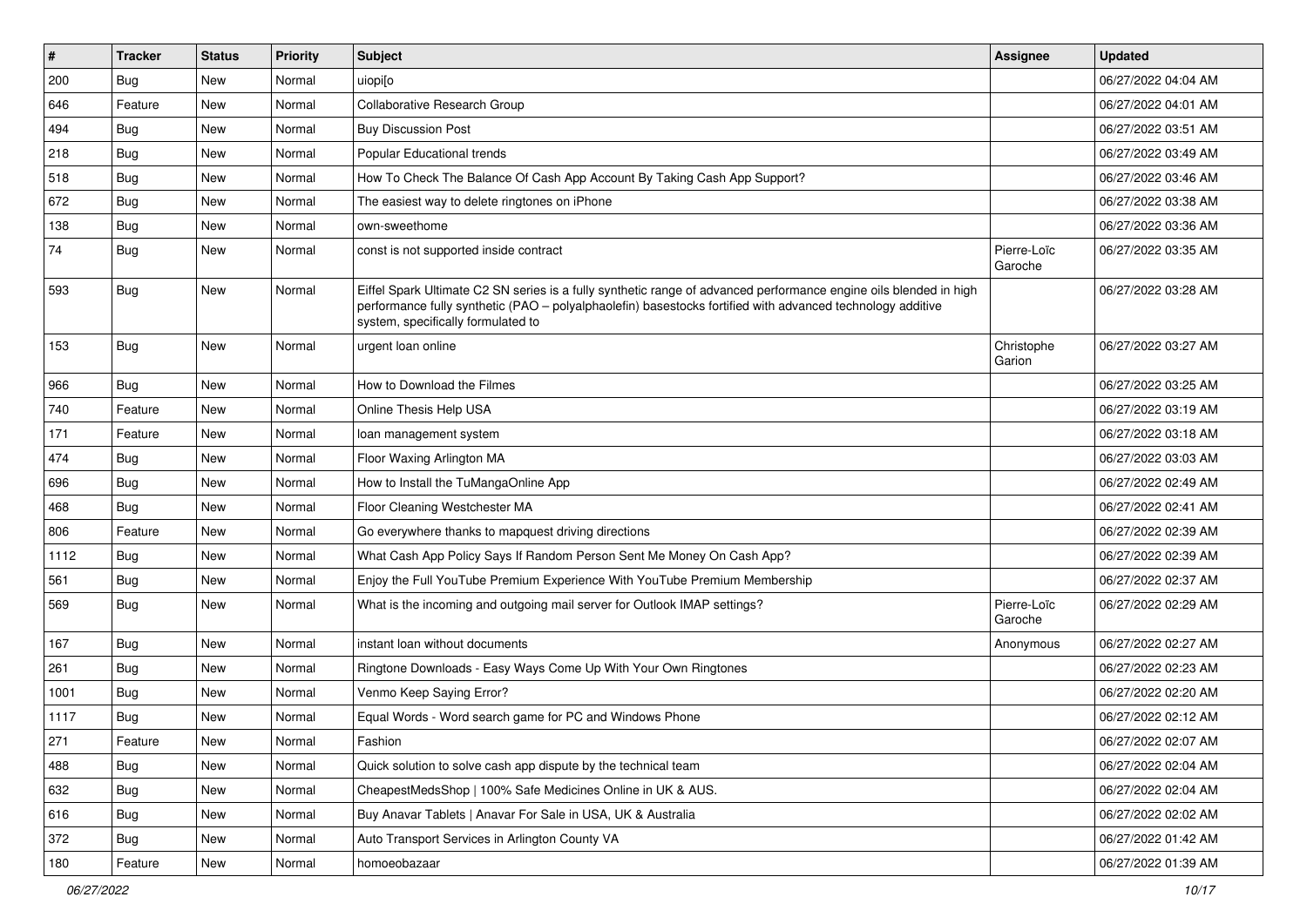| #    | <b>Tracker</b> | <b>Status</b> | <b>Priority</b> | Subject                                                                                                                                                                                                                                                               | <b>Assignee</b>        | <b>Updated</b>      |
|------|----------------|---------------|-----------------|-----------------------------------------------------------------------------------------------------------------------------------------------------------------------------------------------------------------------------------------------------------------------|------------------------|---------------------|
| 200  | <b>Bug</b>     | New           | Normal          | uiopi[o                                                                                                                                                                                                                                                               |                        | 06/27/2022 04:04 AM |
| 646  | Feature        | New           | Normal          | <b>Collaborative Research Group</b>                                                                                                                                                                                                                                   |                        | 06/27/2022 04:01 AM |
| 494  | Bug            | New           | Normal          | <b>Buy Discussion Post</b>                                                                                                                                                                                                                                            |                        | 06/27/2022 03:51 AM |
| 218  | <b>Bug</b>     | New           | Normal          | Popular Educational trends                                                                                                                                                                                                                                            |                        | 06/27/2022 03:49 AM |
| 518  | <b>Bug</b>     | New           | Normal          | How To Check The Balance Of Cash App Account By Taking Cash App Support?                                                                                                                                                                                              |                        | 06/27/2022 03:46 AM |
| 672  | <b>Bug</b>     | New           | Normal          | The easiest way to delete ringtones on iPhone                                                                                                                                                                                                                         |                        | 06/27/2022 03:38 AM |
| 138  | <b>Bug</b>     | New           | Normal          | own-sweethome                                                                                                                                                                                                                                                         |                        | 06/27/2022 03:36 AM |
| 74   | Bug            | New           | Normal          | const is not supported inside contract                                                                                                                                                                                                                                | Pierre-Loïc<br>Garoche | 06/27/2022 03:35 AM |
| 593  | Bug            | New           | Normal          | Eiffel Spark Ultimate C2 SN series is a fully synthetic range of advanced performance engine oils blended in high<br>performance fully synthetic (PAO – polyalphaolefin) basestocks fortified with advanced technology additive<br>system, specifically formulated to |                        | 06/27/2022 03:28 AM |
| 153  | Bug            | New           | Normal          | urgent loan online                                                                                                                                                                                                                                                    | Christophe<br>Garion   | 06/27/2022 03:27 AM |
| 966  | <b>Bug</b>     | New           | Normal          | How to Download the Filmes                                                                                                                                                                                                                                            |                        | 06/27/2022 03:25 AM |
| 740  | Feature        | New           | Normal          | Online Thesis Help USA                                                                                                                                                                                                                                                |                        | 06/27/2022 03:19 AM |
| 171  | Feature        | New           | Normal          | loan management system                                                                                                                                                                                                                                                |                        | 06/27/2022 03:18 AM |
| 474  | <b>Bug</b>     | New           | Normal          | Floor Waxing Arlington MA                                                                                                                                                                                                                                             |                        | 06/27/2022 03:03 AM |
| 696  | Bug            | New           | Normal          | How to Install the TuMangaOnline App                                                                                                                                                                                                                                  |                        | 06/27/2022 02:49 AM |
| 468  | Bug            | New           | Normal          | Floor Cleaning Westchester MA                                                                                                                                                                                                                                         |                        | 06/27/2022 02:41 AM |
| 806  | Feature        | New           | Normal          | Go everywhere thanks to mapquest driving directions                                                                                                                                                                                                                   |                        | 06/27/2022 02:39 AM |
| 1112 | <b>Bug</b>     | New           | Normal          | What Cash App Policy Says If Random Person Sent Me Money On Cash App?                                                                                                                                                                                                 |                        | 06/27/2022 02:39 AM |
| 561  | <b>Bug</b>     | New           | Normal          | Enjoy the Full YouTube Premium Experience With YouTube Premium Membership                                                                                                                                                                                             |                        | 06/27/2022 02:37 AM |
| 569  | Bug            | New           | Normal          | What is the incoming and outgoing mail server for Outlook IMAP settings?                                                                                                                                                                                              | Pierre-Loïc<br>Garoche | 06/27/2022 02:29 AM |
| 167  | Bug            | New           | Normal          | instant loan without documents                                                                                                                                                                                                                                        | Anonymous              | 06/27/2022 02:27 AM |
| 261  | Bug            | New           | Normal          | Ringtone Downloads - Easy Ways Come Up With Your Own Ringtones                                                                                                                                                                                                        |                        | 06/27/2022 02:23 AM |
| 1001 | <b>Bug</b>     | New           | Normal          | Venmo Keep Saying Error?                                                                                                                                                                                                                                              |                        | 06/27/2022 02:20 AM |
| 1117 | <b>Bug</b>     | New           | Normal          | Equal Words - Word search game for PC and Windows Phone                                                                                                                                                                                                               |                        | 06/27/2022 02:12 AM |
| 271  | Feature        | New           | Normal          | Fashion                                                                                                                                                                                                                                                               |                        | 06/27/2022 02:07 AM |
| 488  | <b>Bug</b>     | New           | Normal          | Quick solution to solve cash app dispute by the technical team                                                                                                                                                                                                        |                        | 06/27/2022 02:04 AM |
| 632  | <b>Bug</b>     | New           | Normal          | CheapestMedsShop   100% Safe Medicines Online in UK & AUS.                                                                                                                                                                                                            |                        | 06/27/2022 02:04 AM |
| 616  | <b>Bug</b>     | New           | Normal          | Buy Anavar Tablets   Anavar For Sale in USA, UK & Australia                                                                                                                                                                                                           |                        | 06/27/2022 02:02 AM |
| 372  | <b>Bug</b>     | New           | Normal          | Auto Transport Services in Arlington County VA                                                                                                                                                                                                                        |                        | 06/27/2022 01:42 AM |
| 180  | Feature        | New           | Normal          | homoeobazaar                                                                                                                                                                                                                                                          |                        | 06/27/2022 01:39 AM |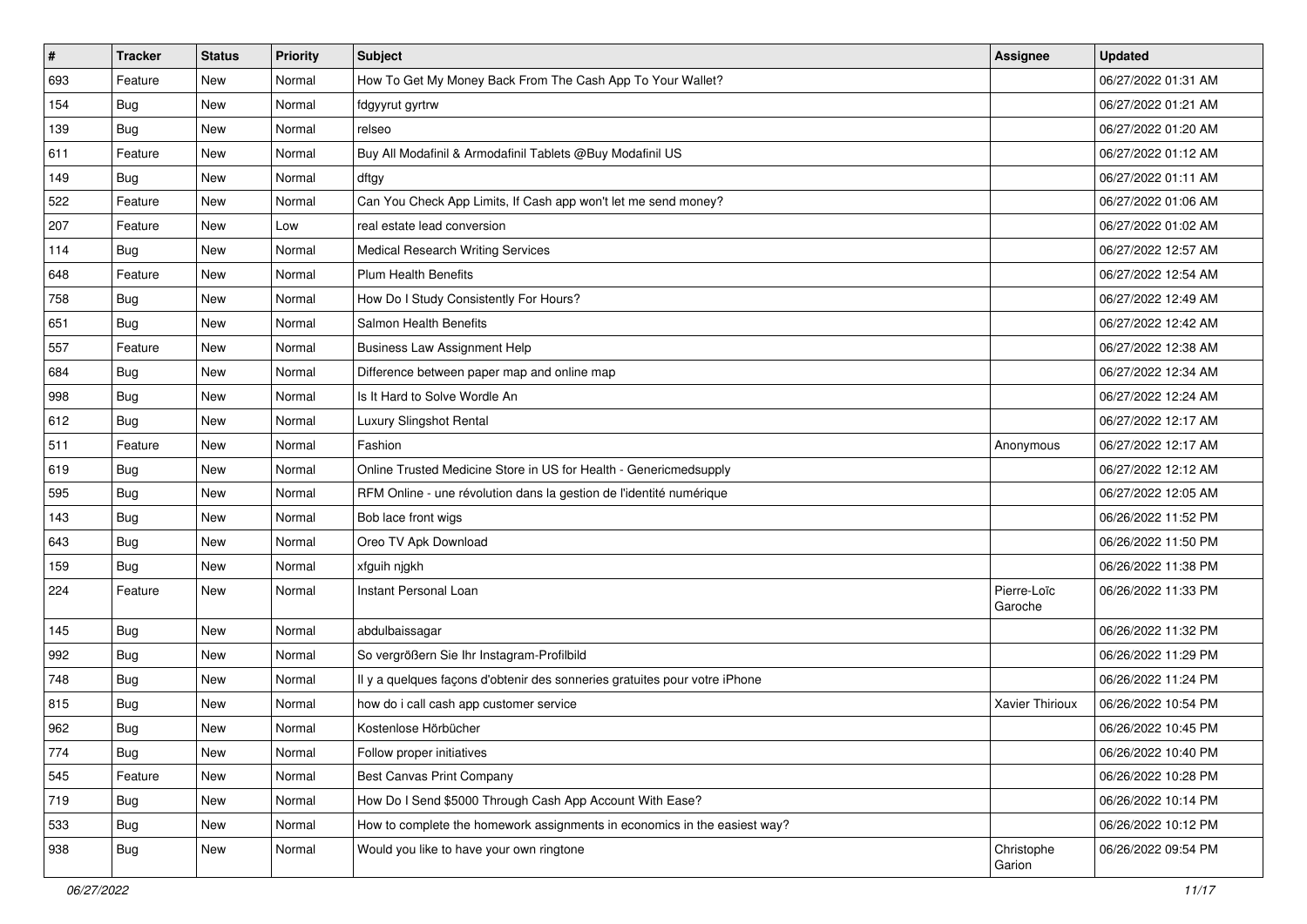| #   | <b>Tracker</b> | <b>Status</b> | <b>Priority</b> | Subject                                                                    | Assignee               | <b>Updated</b>      |
|-----|----------------|---------------|-----------------|----------------------------------------------------------------------------|------------------------|---------------------|
| 693 | Feature        | New           | Normal          | How To Get My Money Back From The Cash App To Your Wallet?                 |                        | 06/27/2022 01:31 AM |
| 154 | Bug            | New           | Normal          | fdgyyrut gyrtrw                                                            |                        | 06/27/2022 01:21 AM |
| 139 | Bug            | New           | Normal          | relseo                                                                     |                        | 06/27/2022 01:20 AM |
| 611 | Feature        | New           | Normal          | Buy All Modafinil & Armodafinil Tablets @Buy Modafinil US                  |                        | 06/27/2022 01:12 AM |
| 149 | Bug            | New           | Normal          | dftgy                                                                      |                        | 06/27/2022 01:11 AM |
| 522 | Feature        | New           | Normal          | Can You Check App Limits, If Cash app won't let me send money?             |                        | 06/27/2022 01:06 AM |
| 207 | Feature        | New           | Low             | real estate lead conversion                                                |                        | 06/27/2022 01:02 AM |
| 114 | Bug            | New           | Normal          | <b>Medical Research Writing Services</b>                                   |                        | 06/27/2022 12:57 AM |
| 648 | Feature        | New           | Normal          | <b>Plum Health Benefits</b>                                                |                        | 06/27/2022 12:54 AM |
| 758 | Bug            | New           | Normal          | How Do I Study Consistently For Hours?                                     |                        | 06/27/2022 12:49 AM |
| 651 | Bug            | New           | Normal          | Salmon Health Benefits                                                     |                        | 06/27/2022 12:42 AM |
| 557 | Feature        | New           | Normal          | <b>Business Law Assignment Help</b>                                        |                        | 06/27/2022 12:38 AM |
| 684 | Bug            | New           | Normal          | Difference between paper map and online map                                |                        | 06/27/2022 12:34 AM |
| 998 | Bug            | New           | Normal          | Is It Hard to Solve Wordle An                                              |                        | 06/27/2022 12:24 AM |
| 612 | <b>Bug</b>     | New           | Normal          | <b>Luxury Slingshot Rental</b>                                             |                        | 06/27/2022 12:17 AM |
| 511 | Feature        | New           | Normal          | Fashion                                                                    | Anonymous              | 06/27/2022 12:17 AM |
| 619 | <b>Bug</b>     | New           | Normal          | Online Trusted Medicine Store in US for Health - Genericmedsupply          |                        | 06/27/2022 12:12 AM |
| 595 | Bug            | New           | Normal          | RFM Online - une révolution dans la gestion de l'identité numérique        |                        | 06/27/2022 12:05 AM |
| 143 | <b>Bug</b>     | New           | Normal          | Bob lace front wigs                                                        |                        | 06/26/2022 11:52 PM |
| 643 | Bug            | New           | Normal          | Oreo TV Apk Download                                                       |                        | 06/26/2022 11:50 PM |
| 159 | Bug            | New           | Normal          | xfguih njgkh                                                               |                        | 06/26/2022 11:38 PM |
| 224 | Feature        | New           | Normal          | Instant Personal Loan                                                      | Pierre-Loïc<br>Garoche | 06/26/2022 11:33 PM |
| 145 | Bug            | New           | Normal          | abdulbaissagar                                                             |                        | 06/26/2022 11:32 PM |
| 992 | <b>Bug</b>     | New           | Normal          | So vergrößern Sie Ihr Instagram-Profilbild                                 |                        | 06/26/2022 11:29 PM |
| 748 | Bug            | New           | Normal          | Il y a quelques façons d'obtenir des sonneries gratuites pour votre iPhone |                        | 06/26/2022 11:24 PM |
| 815 | <b>Bug</b>     | New           | Normal          | how do i call cash app customer service                                    | <b>Xavier Thirioux</b> | 06/26/2022 10:54 PM |
| 962 | <b>Bug</b>     | New           | Normal          | Kostenlose Hörbücher                                                       |                        | 06/26/2022 10:45 PM |
| 774 | <b>Bug</b>     | New           | Normal          | Follow proper initiatives                                                  |                        | 06/26/2022 10:40 PM |
| 545 | Feature        | New           | Normal          | Best Canvas Print Company                                                  |                        | 06/26/2022 10:28 PM |
| 719 | <b>Bug</b>     | New           | Normal          | How Do I Send \$5000 Through Cash App Account With Ease?                   |                        | 06/26/2022 10:14 PM |
| 533 | <b>Bug</b>     | New           | Normal          | How to complete the homework assignments in economics in the easiest way?  |                        | 06/26/2022 10:12 PM |
| 938 | Bug            | New           | Normal          | Would you like to have your own ringtone                                   | Christophe<br>Garion   | 06/26/2022 09:54 PM |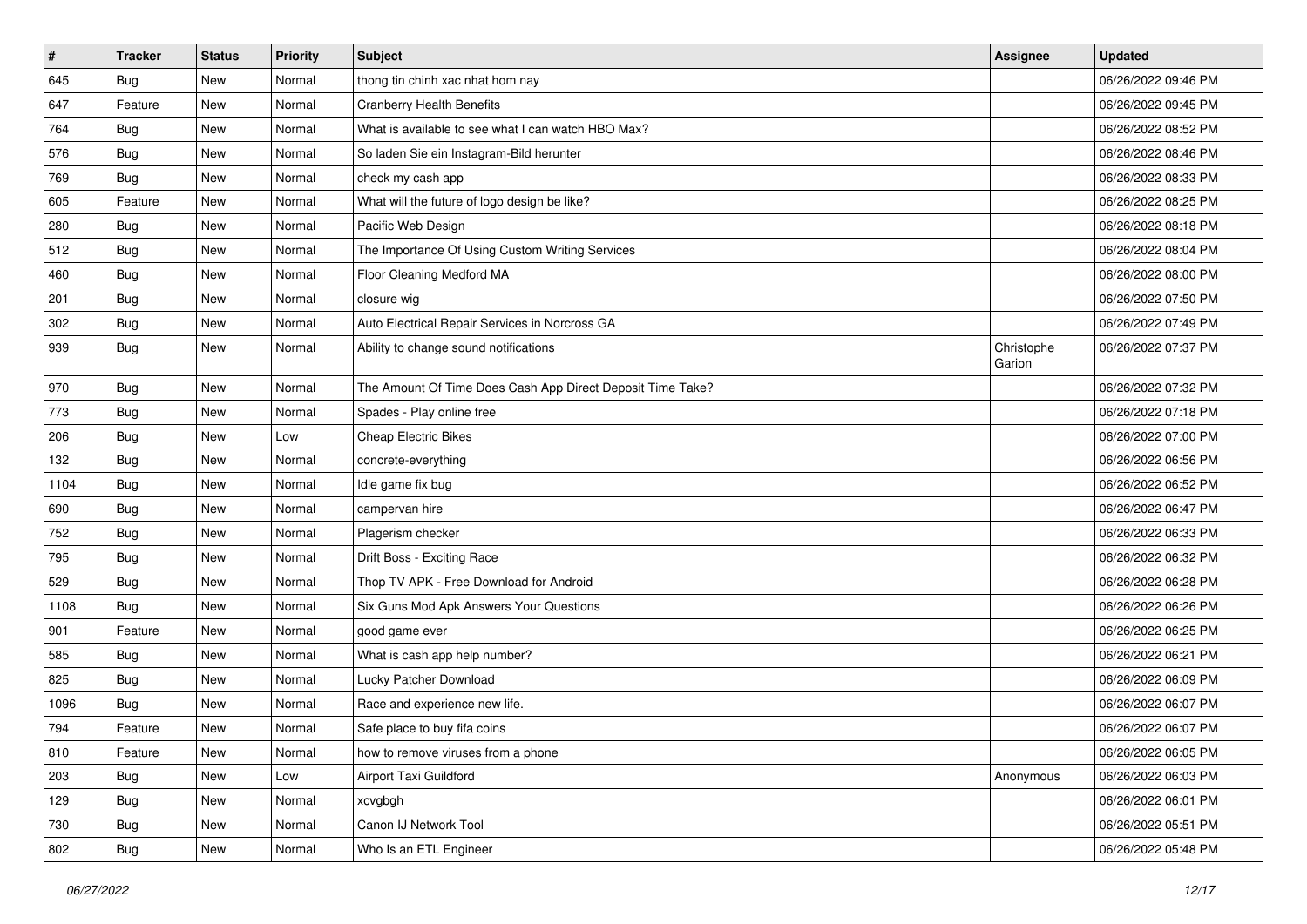| $\vert$ # | <b>Tracker</b> | <b>Status</b> | <b>Priority</b> | Subject                                                    | <b>Assignee</b>      | <b>Updated</b>      |
|-----------|----------------|---------------|-----------------|------------------------------------------------------------|----------------------|---------------------|
| 645       | <b>Bug</b>     | New           | Normal          | thong tin chinh xac nhat hom nay                           |                      | 06/26/2022 09:46 PM |
| 647       | Feature        | <b>New</b>    | Normal          | <b>Cranberry Health Benefits</b>                           |                      | 06/26/2022 09:45 PM |
| 764       | Bug            | New           | Normal          | What is available to see what I can watch HBO Max?         |                      | 06/26/2022 08:52 PM |
| 576       | <b>Bug</b>     | New           | Normal          | So laden Sie ein Instagram-Bild herunter                   |                      | 06/26/2022 08:46 PM |
| 769       | <b>Bug</b>     | New           | Normal          | check my cash app                                          |                      | 06/26/2022 08:33 PM |
| 605       | Feature        | New           | Normal          | What will the future of logo design be like?               |                      | 06/26/2022 08:25 PM |
| 280       | <b>Bug</b>     | New           | Normal          | Pacific Web Design                                         |                      | 06/26/2022 08:18 PM |
| 512       | <b>Bug</b>     | New           | Normal          | The Importance Of Using Custom Writing Services            |                      | 06/26/2022 08:04 PM |
| 460       | <b>Bug</b>     | New           | Normal          | Floor Cleaning Medford MA                                  |                      | 06/26/2022 08:00 PM |
| 201       | Bug            | <b>New</b>    | Normal          | closure wig                                                |                      | 06/26/2022 07:50 PM |
| 302       | Bug            | New           | Normal          | Auto Electrical Repair Services in Norcross GA             |                      | 06/26/2022 07:49 PM |
| 939       | <b>Bug</b>     | New           | Normal          | Ability to change sound notifications                      | Christophe<br>Garion | 06/26/2022 07:37 PM |
| 970       | <b>Bug</b>     | New           | Normal          | The Amount Of Time Does Cash App Direct Deposit Time Take? |                      | 06/26/2022 07:32 PM |
| 773       | <b>Bug</b>     | <b>New</b>    | Normal          | Spades - Play online free                                  |                      | 06/26/2022 07:18 PM |
| 206       | <b>Bug</b>     | New           | Low             | <b>Cheap Electric Bikes</b>                                |                      | 06/26/2022 07:00 PM |
| 132       | <b>Bug</b>     | <b>New</b>    | Normal          | concrete-everything                                        |                      | 06/26/2022 06:56 PM |
| 1104      | Bug            | <b>New</b>    | Normal          | Idle game fix bug                                          |                      | 06/26/2022 06:52 PM |
| 690       | <b>Bug</b>     | New           | Normal          | campervan hire                                             |                      | 06/26/2022 06:47 PM |
| 752       | <b>Bug</b>     | New           | Normal          | Plagerism checker                                          |                      | 06/26/2022 06:33 PM |
| 795       | <b>Bug</b>     | New           | Normal          | Drift Boss - Exciting Race                                 |                      | 06/26/2022 06:32 PM |
| 529       | <b>Bug</b>     | New           | Normal          | Thop TV APK - Free Download for Android                    |                      | 06/26/2022 06:28 PM |
| 1108      | <b>Bug</b>     | <b>New</b>    | Normal          | Six Guns Mod Apk Answers Your Questions                    |                      | 06/26/2022 06:26 PM |
| 901       | Feature        | New           | Normal          | good game ever                                             |                      | 06/26/2022 06:25 PM |
| 585       | <b>Bug</b>     | New           | Normal          | What is cash app help number?                              |                      | 06/26/2022 06:21 PM |
| 825       | <b>Bug</b>     | <b>New</b>    | Normal          | Lucky Patcher Download                                     |                      | 06/26/2022 06:09 PM |
| 1096      | <b>Bug</b>     | New           | Normal          | Race and experience new life.                              |                      | 06/26/2022 06:07 PM |
| 794       | Feature        | New           | Normal          | Safe place to buy fifa coins                               |                      | 06/26/2022 06:07 PM |
| 810       | Feature        | New           | Normal          | how to remove viruses from a phone                         |                      | 06/26/2022 06:05 PM |
| 203       | <b>Bug</b>     | New           | Low             | Airport Taxi Guildford                                     | Anonymous            | 06/26/2022 06:03 PM |
| 129       | <b>Bug</b>     | New           | Normal          | xcvgbgh                                                    |                      | 06/26/2022 06:01 PM |
| 730       | <b>Bug</b>     | New           | Normal          | Canon IJ Network Tool                                      |                      | 06/26/2022 05:51 PM |
| 802       | Bug            | New           | Normal          | Who Is an ETL Engineer                                     |                      | 06/26/2022 05:48 PM |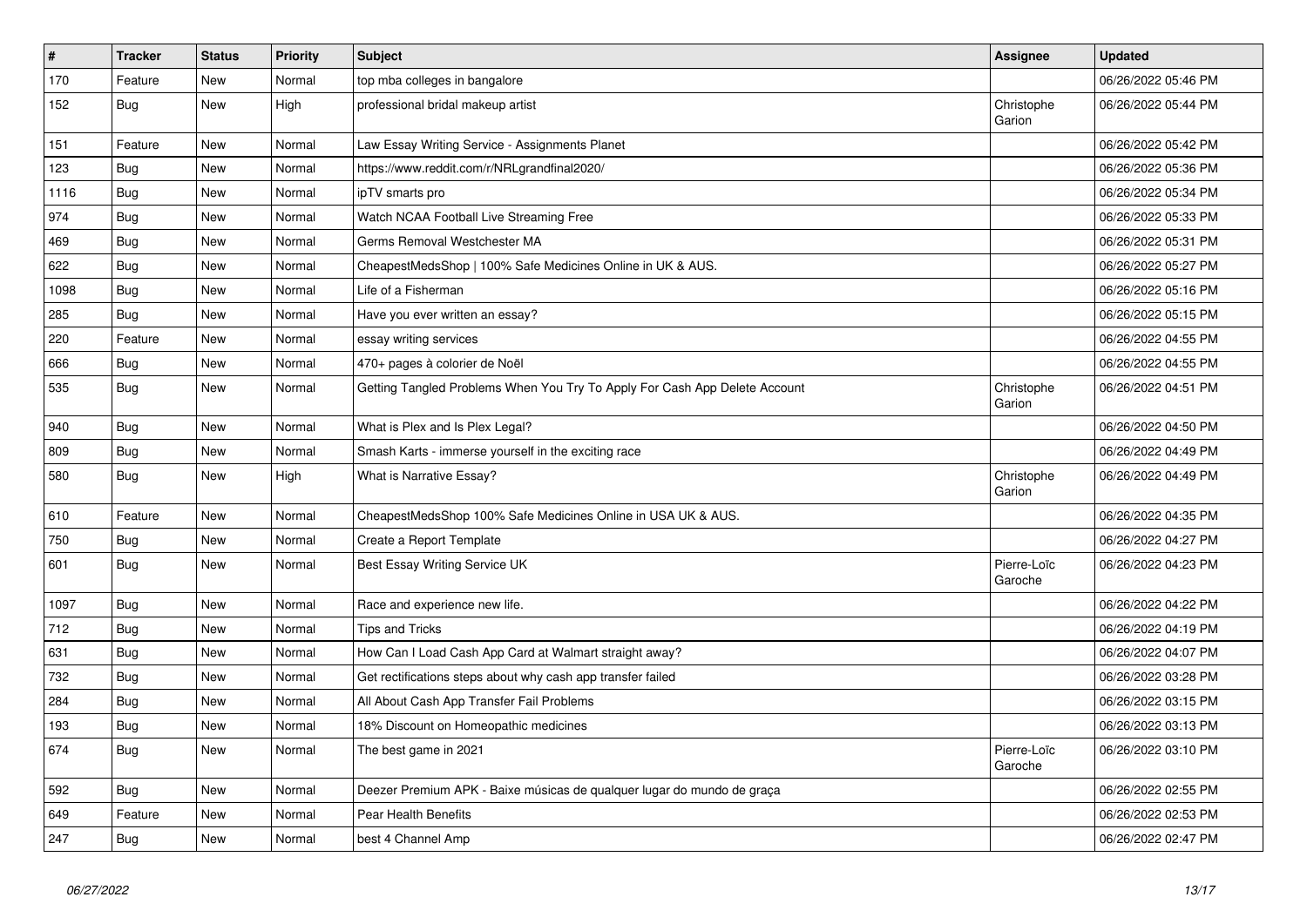| $\vert$ # | <b>Tracker</b> | <b>Status</b> | <b>Priority</b> | <b>Subject</b>                                                             | Assignee               | <b>Updated</b>      |
|-----------|----------------|---------------|-----------------|----------------------------------------------------------------------------|------------------------|---------------------|
| 170       | Feature        | <b>New</b>    | Normal          | top mba colleges in bangalore                                              |                        | 06/26/2022 05:46 PM |
| 152       | <b>Bug</b>     | New           | High            | professional bridal makeup artist                                          | Christophe<br>Garion   | 06/26/2022 05:44 PM |
| 151       | Feature        | New           | Normal          | Law Essay Writing Service - Assignments Planet                             |                        | 06/26/2022 05:42 PM |
| 123       | Bug            | <b>New</b>    | Normal          | https://www.reddit.com/r/NRLgrandfinal2020/                                |                        | 06/26/2022 05:36 PM |
| 1116      | Bug            | New           | Normal          | ipTV smarts pro                                                            |                        | 06/26/2022 05:34 PM |
| 974       | <b>Bug</b>     | <b>New</b>    | Normal          | Watch NCAA Football Live Streaming Free                                    |                        | 06/26/2022 05:33 PM |
| 469       | Bug            | <b>New</b>    | Normal          | Germs Removal Westchester MA                                               |                        | 06/26/2022 05:31 PM |
| 622       | Bug            | <b>New</b>    | Normal          | CheapestMedsShop   100% Safe Medicines Online in UK & AUS.                 |                        | 06/26/2022 05:27 PM |
| 1098      | Bug            | New           | Normal          | Life of a Fisherman                                                        |                        | 06/26/2022 05:16 PM |
| 285       | <b>Bug</b>     | New           | Normal          | Have you ever written an essay?                                            |                        | 06/26/2022 05:15 PM |
| 220       | Feature        | <b>New</b>    | Normal          | essay writing services                                                     |                        | 06/26/2022 04:55 PM |
| 666       | Bug            | <b>New</b>    | Normal          | 470+ pages à colorier de Noël                                              |                        | 06/26/2022 04:55 PM |
| 535       | <b>Bug</b>     | New           | Normal          | Getting Tangled Problems When You Try To Apply For Cash App Delete Account | Christophe<br>Garion   | 06/26/2022 04:51 PM |
| 940       | <b>Bug</b>     | <b>New</b>    | Normal          | What is Plex and Is Plex Legal?                                            |                        | 06/26/2022 04:50 PM |
| 809       | Bug            | <b>New</b>    | Normal          | Smash Karts - immerse yourself in the exciting race                        |                        | 06/26/2022 04:49 PM |
| 580       | <b>Bug</b>     | New           | High            | What is Narrative Essay?                                                   | Christophe<br>Garion   | 06/26/2022 04:49 PM |
| 610       | Feature        | <b>New</b>    | Normal          | CheapestMedsShop 100% Safe Medicines Online in USA UK & AUS.               |                        | 06/26/2022 04:35 PM |
| 750       | Bug            | <b>New</b>    | Normal          | Create a Report Template                                                   |                        | 06/26/2022 04:27 PM |
| 601       | <b>Bug</b>     | <b>New</b>    | Normal          | Best Essay Writing Service UK                                              | Pierre-Loïc<br>Garoche | 06/26/2022 04:23 PM |
| 1097      | <b>Bug</b>     | New           | Normal          | Race and experience new life.                                              |                        | 06/26/2022 04:22 PM |
| 712       | <b>Bug</b>     | <b>New</b>    | Normal          | <b>Tips and Tricks</b>                                                     |                        | 06/26/2022 04:19 PM |
| 631       | Bug            | <b>New</b>    | Normal          | How Can I Load Cash App Card at Walmart straight away?                     |                        | 06/26/2022 04:07 PM |
| 732       | Bug            | <b>New</b>    | Normal          | Get rectifications steps about why cash app transfer failed                |                        | 06/26/2022 03:28 PM |
| 284       | Bug            | <b>New</b>    | Normal          | All About Cash App Transfer Fail Problems                                  |                        | 06/26/2022 03:15 PM |
| 193       | <b>Bug</b>     | <b>New</b>    | Normal          | 18% Discount on Homeopathic medicines                                      |                        | 06/26/2022 03:13 PM |
| 674       | Bug            | New           | Normal          | The best game in 2021                                                      | Pierre-Loïc<br>Garoche | 06/26/2022 03:10 PM |
| 592       | Bug            | <b>New</b>    | Normal          | Deezer Premium APK - Baixe músicas de qualquer lugar do mundo de graça     |                        | 06/26/2022 02:55 PM |
| 649       | Feature        | <b>New</b>    | Normal          | Pear Health Benefits                                                       |                        | 06/26/2022 02:53 PM |
| 247       | <b>Bug</b>     | <b>New</b>    | Normal          | best 4 Channel Amp                                                         |                        | 06/26/2022 02:47 PM |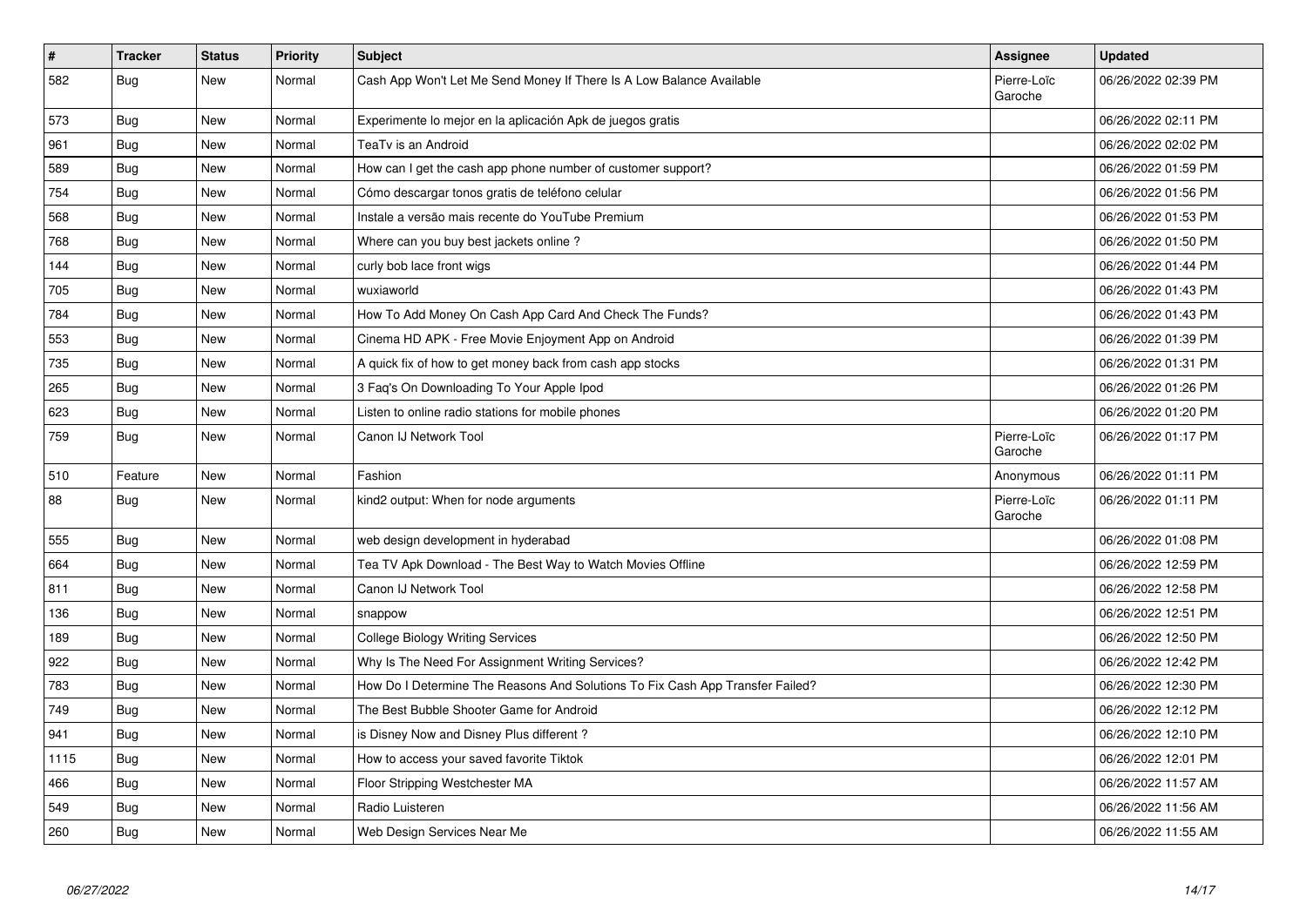| $\vert$ # | <b>Tracker</b> | <b>Status</b> | <b>Priority</b> | <b>Subject</b>                                                                | <b>Assignee</b>        | <b>Updated</b>      |
|-----------|----------------|---------------|-----------------|-------------------------------------------------------------------------------|------------------------|---------------------|
| 582       | Bug            | New           | Normal          | Cash App Won't Let Me Send Money If There Is A Low Balance Available          | Pierre-Loïc<br>Garoche | 06/26/2022 02:39 PM |
| 573       | <b>Bug</b>     | New           | Normal          | Experimente lo mejor en la aplicación Apk de juegos gratis                    |                        | 06/26/2022 02:11 PM |
| 961       | Bug            | New           | Normal          | TeaTv is an Android                                                           |                        | 06/26/2022 02:02 PM |
| 589       | <b>Bug</b>     | <b>New</b>    | Normal          | How can I get the cash app phone number of customer support?                  |                        | 06/26/2022 01:59 PM |
| 754       | Bug            | New           | Normal          | Cómo descargar tonos gratis de teléfono celular                               |                        | 06/26/2022 01:56 PM |
| 568       | Bug            | New           | Normal          | Instale a versão mais recente do YouTube Premium                              |                        | 06/26/2022 01:53 PM |
| 768       | Bug            | New           | Normal          | Where can you buy best jackets online?                                        |                        | 06/26/2022 01:50 PM |
| 144       | <b>Bug</b>     | New           | Normal          | curly bob lace front wigs                                                     |                        | 06/26/2022 01:44 PM |
| 705       | <b>Bug</b>     | New           | Normal          | wuxiaworld                                                                    |                        | 06/26/2022 01:43 PM |
| 784       | <b>Bug</b>     | New           | Normal          | How To Add Money On Cash App Card And Check The Funds?                        |                        | 06/26/2022 01:43 PM |
| 553       | <b>Bug</b>     | New           | Normal          | Cinema HD APK - Free Movie Enjoyment App on Android                           |                        | 06/26/2022 01:39 PM |
| 735       | <b>Bug</b>     | New           | Normal          | A quick fix of how to get money back from cash app stocks                     |                        | 06/26/2022 01:31 PM |
| 265       | Bug            | New           | Normal          | 3 Faq's On Downloading To Your Apple Ipod                                     |                        | 06/26/2022 01:26 PM |
| 623       | Bug            | New           | Normal          | Listen to online radio stations for mobile phones                             |                        | 06/26/2022 01:20 PM |
| 759       | Bug            | New           | Normal          | Canon IJ Network Tool                                                         | Pierre-Loïc<br>Garoche | 06/26/2022 01:17 PM |
| 510       | Feature        | New           | Normal          | Fashion                                                                       | Anonymous              | 06/26/2022 01:11 PM |
| 88        | Bug            | New           | Normal          | kind2 output: When for node arguments                                         | Pierre-Loïc<br>Garoche | 06/26/2022 01:11 PM |
| 555       | Bug            | New           | Normal          | web design development in hyderabad                                           |                        | 06/26/2022 01:08 PM |
| 664       | <b>Bug</b>     | New           | Normal          | Tea TV Apk Download - The Best Way to Watch Movies Offline                    |                        | 06/26/2022 12:59 PM |
| 811       | Bug            | New           | Normal          | Canon IJ Network Tool                                                         |                        | 06/26/2022 12:58 PM |
| 136       | Bug            | New           | Normal          | snappow                                                                       |                        | 06/26/2022 12:51 PM |
| 189       | Bug            | New           | Normal          | <b>College Biology Writing Services</b>                                       |                        | 06/26/2022 12:50 PM |
| 922       | Bug            | New           | Normal          | Why Is The Need For Assignment Writing Services?                              |                        | 06/26/2022 12:42 PM |
| 783       | <b>Bug</b>     | New           | Normal          | How Do I Determine The Reasons And Solutions To Fix Cash App Transfer Failed? |                        | 06/26/2022 12:30 PM |
| 749       | <b>Bug</b>     | New           | Normal          | The Best Bubble Shooter Game for Android                                      |                        | 06/26/2022 12:12 PM |
| 941       | Bug            | New           | Normal          | is Disney Now and Disney Plus different?                                      |                        | 06/26/2022 12:10 PM |
| 1115      | <b>Bug</b>     | New           | Normal          | How to access your saved favorite Tiktok                                      |                        | 06/26/2022 12:01 PM |
| 466       | Bug            | New           | Normal          | Floor Stripping Westchester MA                                                |                        | 06/26/2022 11:57 AM |
| 549       | <b>Bug</b>     | New           | Normal          | Radio Luisteren                                                               |                        | 06/26/2022 11:56 AM |
| 260       | <b>Bug</b>     | <b>New</b>    | Normal          | Web Design Services Near Me                                                   |                        | 06/26/2022 11:55 AM |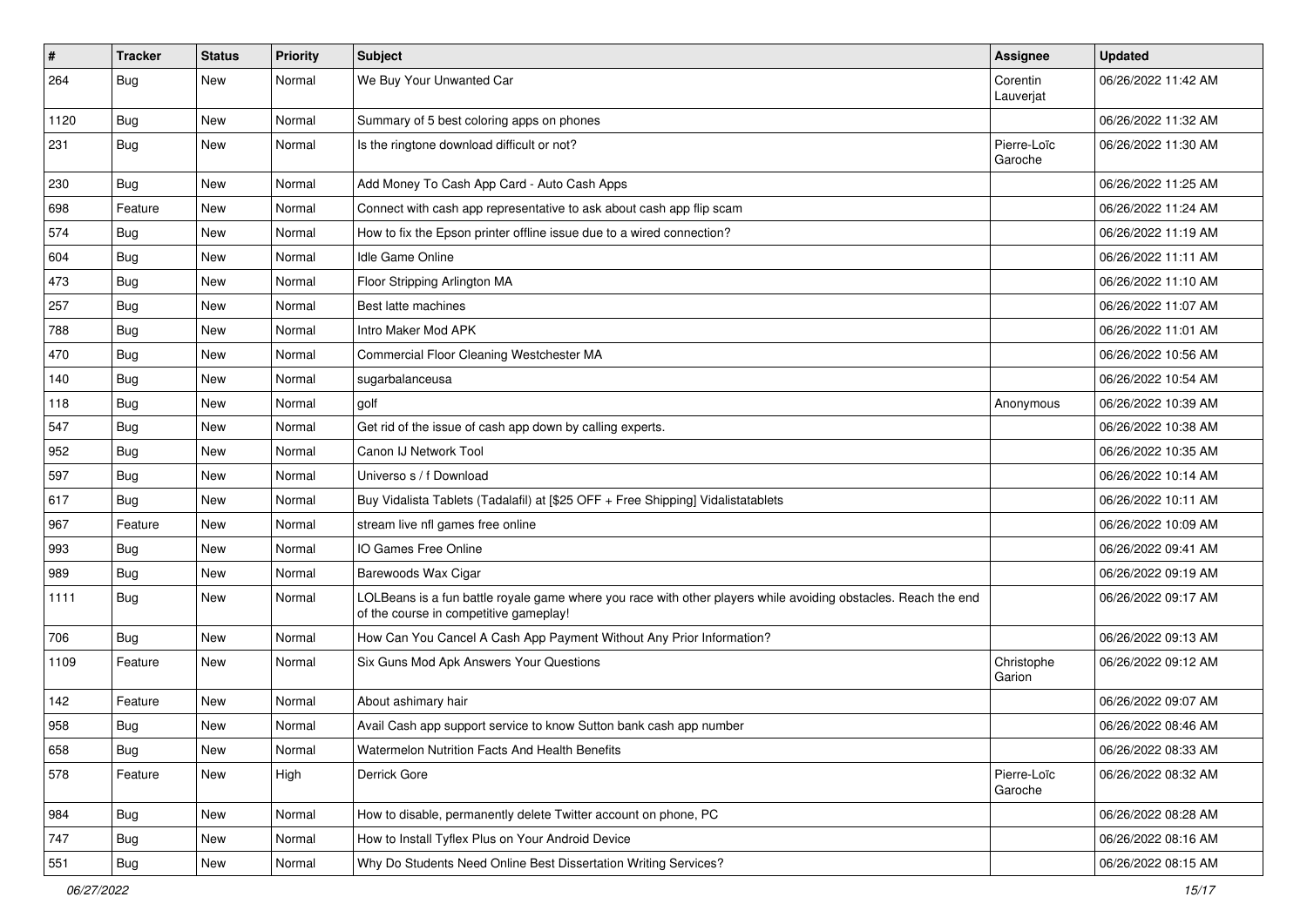| $\vert$ # | <b>Tracker</b> | <b>Status</b> | <b>Priority</b> | Subject                                                                                                                                                  | <b>Assignee</b>        | <b>Updated</b>      |
|-----------|----------------|---------------|-----------------|----------------------------------------------------------------------------------------------------------------------------------------------------------|------------------------|---------------------|
| 264       | <b>Bug</b>     | New           | Normal          | We Buy Your Unwanted Car                                                                                                                                 | Corentin<br>Lauverjat  | 06/26/2022 11:42 AM |
| 1120      | Bug            | New           | Normal          | Summary of 5 best coloring apps on phones                                                                                                                |                        | 06/26/2022 11:32 AM |
| 231       | Bug            | New           | Normal          | Is the ringtone download difficult or not?                                                                                                               | Pierre-Loïc<br>Garoche | 06/26/2022 11:30 AM |
| 230       | <b>Bug</b>     | New           | Normal          | Add Money To Cash App Card - Auto Cash Apps                                                                                                              |                        | 06/26/2022 11:25 AM |
| 698       | Feature        | New           | Normal          | Connect with cash app representative to ask about cash app flip scam                                                                                     |                        | 06/26/2022 11:24 AM |
| 574       | Bug            | New           | Normal          | How to fix the Epson printer offline issue due to a wired connection?                                                                                    |                        | 06/26/2022 11:19 AM |
| 604       | Bug            | New           | Normal          | Idle Game Online                                                                                                                                         |                        | 06/26/2022 11:11 AM |
| 473       | Bug            | New           | Normal          | Floor Stripping Arlington MA                                                                                                                             |                        | 06/26/2022 11:10 AM |
| 257       | Bug            | New           | Normal          | Best latte machines                                                                                                                                      |                        | 06/26/2022 11:07 AM |
| 788       | <b>Bug</b>     | New           | Normal          | Intro Maker Mod APK                                                                                                                                      |                        | 06/26/2022 11:01 AM |
| 470       | Bug            | <b>New</b>    | Normal          | Commercial Floor Cleaning Westchester MA                                                                                                                 |                        | 06/26/2022 10:56 AM |
| 140       | <b>Bug</b>     | New           | Normal          | sugarbalanceusa                                                                                                                                          |                        | 06/26/2022 10:54 AM |
| 118       | <b>Bug</b>     | New           | Normal          | golf                                                                                                                                                     | Anonymous              | 06/26/2022 10:39 AM |
| 547       | Bug            | New           | Normal          | Get rid of the issue of cash app down by calling experts.                                                                                                |                        | 06/26/2022 10:38 AM |
| 952       | <b>Bug</b>     | New           | Normal          | Canon IJ Network Tool                                                                                                                                    |                        | 06/26/2022 10:35 AM |
| 597       | Bug            | New           | Normal          | Universo s / f Download                                                                                                                                  |                        | 06/26/2022 10:14 AM |
| 617       | Bug            | New           | Normal          | Buy Vidalista Tablets (Tadalafil) at [\$25 OFF + Free Shipping] Vidalistatablets                                                                         |                        | 06/26/2022 10:11 AM |
| 967       | Feature        | New           | Normal          | stream live nfl games free online                                                                                                                        |                        | 06/26/2022 10:09 AM |
| 993       | Bug            | New           | Normal          | IO Games Free Online                                                                                                                                     |                        | 06/26/2022 09:41 AM |
| 989       | <b>Bug</b>     | New           | Normal          | Barewoods Wax Cigar                                                                                                                                      |                        | 06/26/2022 09:19 AM |
| 1111      | <b>Bug</b>     | New           | Normal          | LOLBeans is a fun battle royale game where you race with other players while avoiding obstacles. Reach the end<br>of the course in competitive gameplay! |                        | 06/26/2022 09:17 AM |
| 706       | <b>Bug</b>     | New           | Normal          | How Can You Cancel A Cash App Payment Without Any Prior Information?                                                                                     |                        | 06/26/2022 09:13 AM |
| 1109      | Feature        | <b>New</b>    | Normal          | Six Guns Mod Apk Answers Your Questions                                                                                                                  | Christophe<br>Garion   | 06/26/2022 09:12 AM |
| 142       | Feature        | <b>New</b>    | Normal          | About ashimary hair                                                                                                                                      |                        | 06/26/2022 09:07 AM |
| 958       | <b>Bug</b>     | New           | Normal          | Avail Cash app support service to know Sutton bank cash app number                                                                                       |                        | 06/26/2022 08:46 AM |
| 658       | <b>Bug</b>     | New           | Normal          | Watermelon Nutrition Facts And Health Benefits                                                                                                           |                        | 06/26/2022 08:33 AM |
| 578       | Feature        | New           | High            | Derrick Gore                                                                                                                                             | Pierre-Loïc<br>Garoche | 06/26/2022 08:32 AM |
| 984       | <b>Bug</b>     | New           | Normal          | How to disable, permanently delete Twitter account on phone, PC                                                                                          |                        | 06/26/2022 08:28 AM |
| 747       | <b>Bug</b>     | New           | Normal          | How to Install Tyflex Plus on Your Android Device                                                                                                        |                        | 06/26/2022 08:16 AM |
| 551       | Bug            | New           | Normal          | Why Do Students Need Online Best Dissertation Writing Services?                                                                                          |                        | 06/26/2022 08:15 AM |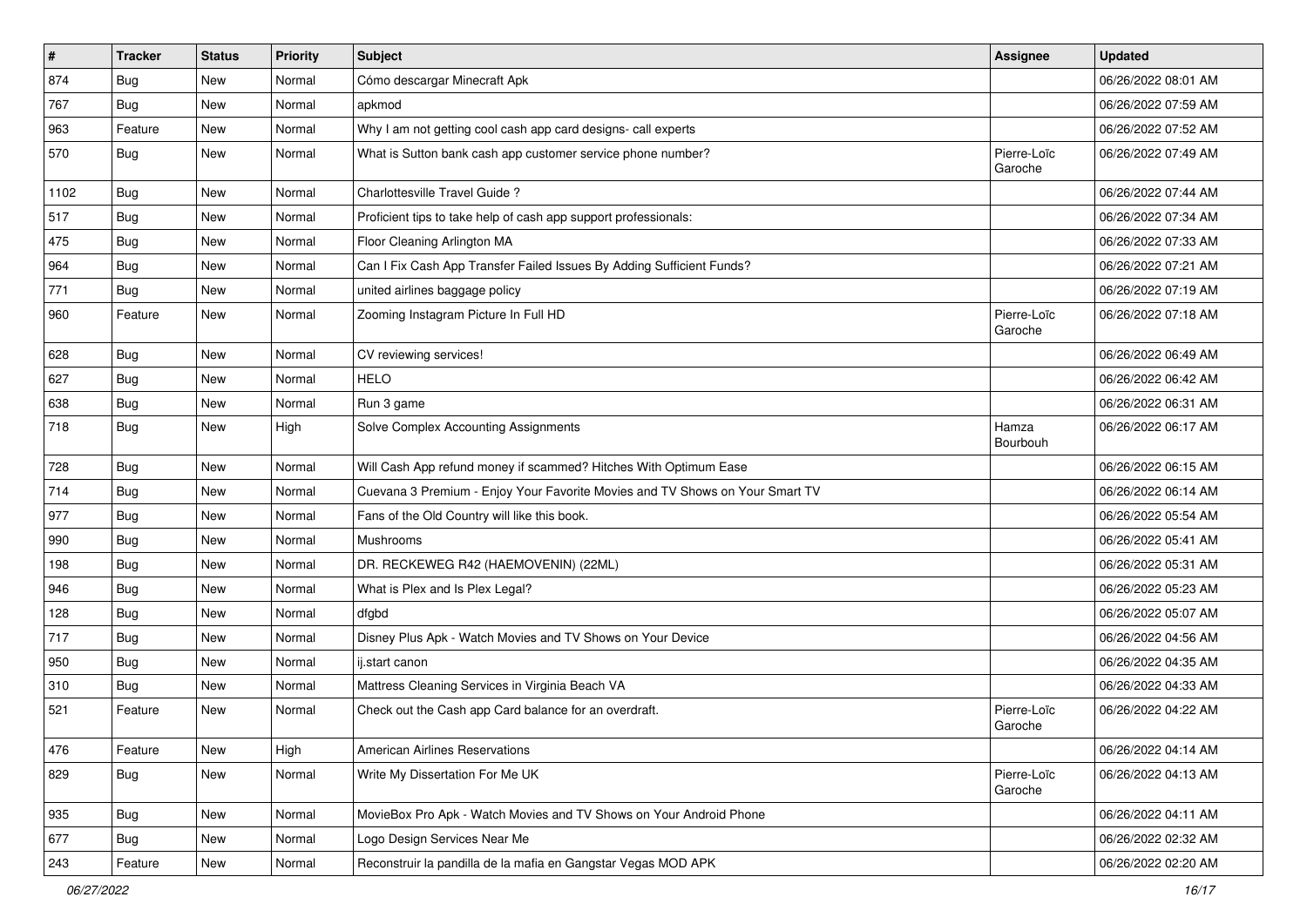| $\vert$ # | <b>Tracker</b> | <b>Status</b> | <b>Priority</b> | Subject                                                                      | <b>Assignee</b>        | <b>Updated</b>      |
|-----------|----------------|---------------|-----------------|------------------------------------------------------------------------------|------------------------|---------------------|
| 874       | <b>Bug</b>     | New           | Normal          | Cómo descargar Minecraft Apk                                                 |                        | 06/26/2022 08:01 AM |
| 767       | <b>Bug</b>     | New           | Normal          | apkmod                                                                       |                        | 06/26/2022 07:59 AM |
| 963       | Feature        | New           | Normal          | Why I am not getting cool cash app card designs- call experts                |                        | 06/26/2022 07:52 AM |
| 570       | <b>Bug</b>     | New           | Normal          | What is Sutton bank cash app customer service phone number?                  | Pierre-Loïc<br>Garoche | 06/26/2022 07:49 AM |
| 1102      | Bug            | New           | Normal          | Charlottesville Travel Guide?                                                |                        | 06/26/2022 07:44 AM |
| 517       | <b>Bug</b>     | New           | Normal          | Proficient tips to take help of cash app support professionals:              |                        | 06/26/2022 07:34 AM |
| 475       | Bug            | New           | Normal          | Floor Cleaning Arlington MA                                                  |                        | 06/26/2022 07:33 AM |
| 964       | Bug            | New           | Normal          | Can I Fix Cash App Transfer Failed Issues By Adding Sufficient Funds?        |                        | 06/26/2022 07:21 AM |
| 771       | Bug            | <b>New</b>    | Normal          | united airlines baggage policy                                               |                        | 06/26/2022 07:19 AM |
| 960       | Feature        | New           | Normal          | Zooming Instagram Picture In Full HD                                         | Pierre-Loïc<br>Garoche | 06/26/2022 07:18 AM |
| 628       | Bug            | New           | Normal          | CV reviewing services!                                                       |                        | 06/26/2022 06:49 AM |
| 627       | <b>Bug</b>     | New           | Normal          | HELO                                                                         |                        | 06/26/2022 06:42 AM |
| 638       | Bug            | New           | Normal          | Run 3 game                                                                   |                        | 06/26/2022 06:31 AM |
| 718       | Bug            | New           | High            | Solve Complex Accounting Assignments                                         | Hamza<br>Bourbouh      | 06/26/2022 06:17 AM |
| 728       | Bug            | <b>New</b>    | Normal          | Will Cash App refund money if scammed? Hitches With Optimum Ease             |                        | 06/26/2022 06:15 AM |
| 714       | Bug            | New           | Normal          | Cuevana 3 Premium - Enjoy Your Favorite Movies and TV Shows on Your Smart TV |                        | 06/26/2022 06:14 AM |
| 977       | Bug            | New           | Normal          | Fans of the Old Country will like this book.                                 |                        | 06/26/2022 05:54 AM |
| 990       | Bug            | New           | Normal          | Mushrooms                                                                    |                        | 06/26/2022 05:41 AM |
| 198       | <b>Bug</b>     | New           | Normal          | DR. RECKEWEG R42 (HAEMOVENIN) (22ML)                                         |                        | 06/26/2022 05:31 AM |
| 946       | Bug            | New           | Normal          | What is Plex and Is Plex Legal?                                              |                        | 06/26/2022 05:23 AM |
| 128       | <b>Bug</b>     | New           | Normal          | dfgbd                                                                        |                        | 06/26/2022 05:07 AM |
| 717       | <b>Bug</b>     | New           | Normal          | Disney Plus Apk - Watch Movies and TV Shows on Your Device                   |                        | 06/26/2022 04:56 AM |
| 950       | <b>Bug</b>     | New           | Normal          | ij.start canon                                                               |                        | 06/26/2022 04:35 AM |
| 310       | <b>Bug</b>     | New           | Normal          | Mattress Cleaning Services in Virginia Beach VA                              |                        | 06/26/2022 04:33 AM |
| 521       | Feature        | New           | Normal          | Check out the Cash app Card balance for an overdraft.                        | Pierre-Loïc<br>Garoche | 06/26/2022 04:22 AM |
| 476       | Feature        | New           | High            | <b>American Airlines Reservations</b>                                        |                        | 06/26/2022 04:14 AM |
| 829       | <b>Bug</b>     | New           | Normal          | Write My Dissertation For Me UK                                              | Pierre-Loïc<br>Garoche | 06/26/2022 04:13 AM |
| 935       | Bug            | New           | Normal          | MovieBox Pro Apk - Watch Movies and TV Shows on Your Android Phone           |                        | 06/26/2022 04:11 AM |
| 677       | Bug            | New           | Normal          | Logo Design Services Near Me                                                 |                        | 06/26/2022 02:32 AM |
| 243       | Feature        | New           | Normal          | Reconstruir la pandilla de la mafia en Gangstar Vegas MOD APK                |                        | 06/26/2022 02:20 AM |